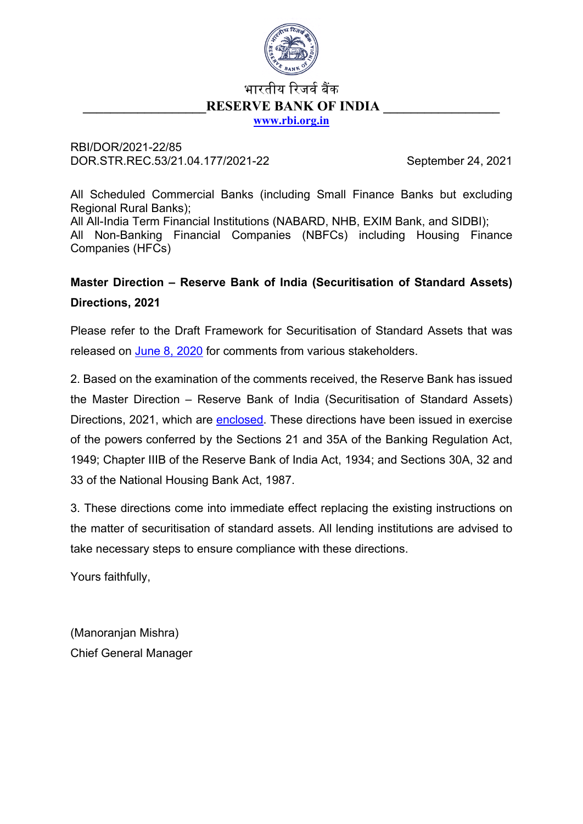

# भारतीय रिजर्व बैंक **RESERVE BANK OF INDIA [www.rbi.org.in](https://www.rbi.org.in/)**

RBI/DOR/2021-22/85 DOR.STR.REC.53/21.04.177/2021-22 September 24, 2021

All Scheduled Commercial Banks (including Small Finance Banks but excluding Regional Rural Banks);

All All-India Term Financial Institutions (NABARD, NHB, EXIM Bank, and SIDBI); All Non-Banking Financial Companies (NBFCs) including Housing Finance Companies (HFCs)

# **Master Direction – Reserve Bank of India (Securitisation of Standard Assets) Directions, 2021**

Please refer to the Draft Framework for Securitisation of Standard Assets that was released on [June 8, 2020](https://www.rbi.org.in/Scripts/BS_PressReleaseDisplay.aspx?prid=49920) for comments from various stakeholders.

2. Based on the examination of the comments received, the Reserve Bank has issued the Master Direction – Reserve Bank of India (Securitisation of Standard Assets) Directions, 2021, which are [enclosed.](#page-1-0) These directions have been issued in exercise of the powers conferred by the Sections 21 and 35A of the Banking Regulation Act, 1949; Chapter IIIB of the Reserve Bank of India Act, 1934; and Sections 30A, 32 and 33 of the National Housing Bank Act, 1987.

3. These directions come into immediate effect replacing the existing instructions on the matter of securitisation of standard assets. All lending institutions are advised to take necessary steps to ensure compliance with these directions.

Yours faithfully,

(Manoranjan Mishra) Chief General Manager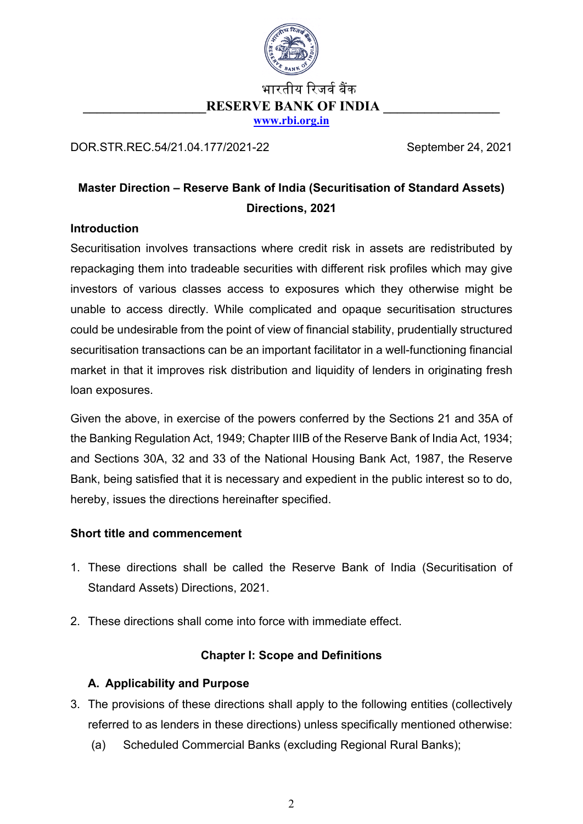

# भारतीय रिजर्व बैंक **RESERVE BANK OF INDIA [www.rbi.org.in](https://www.rbi.org.in/)**

<span id="page-1-0"></span>DOR.STR.REC.54/21.04.177/2021-22 September 24, 2021

# **Master Direction – Reserve Bank of India (Securitisation of Standard Assets) Directions, 2021**

## **Introduction**

Securitisation involves transactions where credit risk in assets are redistributed by repackaging them into tradeable securities with different risk profiles which may give investors of various classes access to exposures which they otherwise might be unable to access directly. While complicated and opaque securitisation structures could be undesirable from the point of view of financial stability, prudentially structured securitisation transactions can be an important facilitator in a well-functioning financial market in that it improves risk distribution and liquidity of lenders in originating fresh loan exposures.

Given the above, in exercise of the powers conferred by the Sections 21 and 35A of the Banking Regulation Act, 1949; Chapter IIIB of the Reserve Bank of India Act, 1934; and Sections 30A, 32 and 33 of the National Housing Bank Act, 1987, the Reserve Bank, being satisfied that it is necessary and expedient in the public interest so to do, hereby, issues the directions hereinafter specified.

### **Short title and commencement**

- 1. These directions shall be called the Reserve Bank of India (Securitisation of Standard Assets) Directions, 2021.
- 2. These directions shall come into force with immediate effect.

# **Chapter I: Scope and Definitions**

# **A. Applicability and Purpose**

- 3. The provisions of these directions shall apply to the following entities (collectively referred to as lenders in these directions) unless specifically mentioned otherwise:
	- (a) Scheduled Commercial Banks (excluding Regional Rural Banks);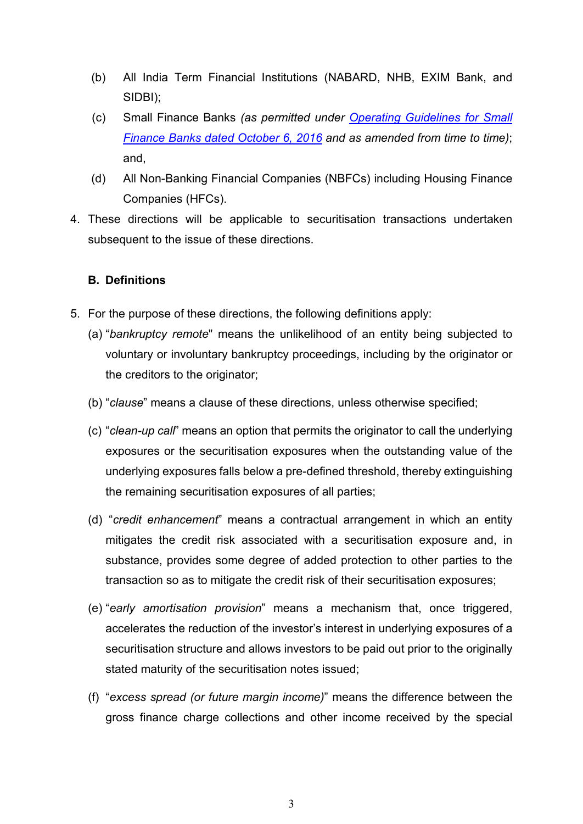- (b) All India Term Financial Institutions (NABARD, NHB, EXIM Bank, and SIDBI);
- (c) Small Finance Banks *(as permitted under [Operating Guidelines for Small](https://www.rbi.org.in/Scripts/NotificationUser.aspx?Id=10636&Mode=0)  [Finance Banks dated October 6, 2016](https://www.rbi.org.in/Scripts/NotificationUser.aspx?Id=10636&Mode=0) and as amended from time to time)*; and,
- (d) All Non-Banking Financial Companies (NBFCs) including Housing Finance Companies (HFCs).
- 4. These directions will be applicable to securitisation transactions undertaken subsequent to the issue of these directions.

# **B. Definitions**

- 5. For the purpose of these directions, the following definitions apply:
	- (a) "*bankruptcy remote*" means the unlikelihood of an entity being subjected to voluntary or involuntary bankruptcy proceedings, including by the originator or the creditors to the originator;
	- (b) "*clause*" means a clause of these directions, unless otherwise specified;
	- (c) "*clean-up call*" means an option that permits the originator to call the underlying exposures or the securitisation exposures when the outstanding value of the underlying exposures falls below a pre-defined threshold, thereby extinguishing the remaining securitisation exposures of all parties;
	- (d) "*credit enhancement*" means a contractual arrangement in which an entity mitigates the credit risk associated with a securitisation exposure and, in substance, provides some degree of added protection to other parties to the transaction so as to mitigate the credit risk of their securitisation exposures;
	- (e) "*early amortisation provision*" means a mechanism that, once triggered, accelerates the reduction of the investor's interest in underlying exposures of a securitisation structure and allows investors to be paid out prior to the originally stated maturity of the securitisation notes issued;
	- (f) "*excess spread (or future margin income)*" means the difference between the gross finance charge collections and other income received by the special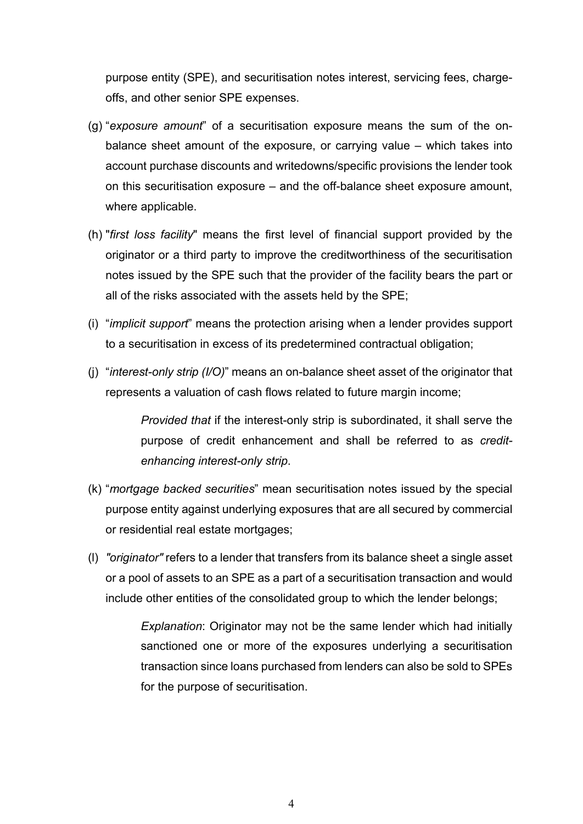purpose entity (SPE), and securitisation notes interest, servicing fees, chargeoffs, and other senior SPE expenses.

- (g) "*exposure amount*" of a securitisation exposure means the sum of the onbalance sheet amount of the exposure, or carrying value – which takes into account purchase discounts and writedowns/specific provisions the lender took on this securitisation exposure – and the off-balance sheet exposure amount, where applicable.
- (h) "*first loss facility*" means the first level of financial support provided by the originator or a third party to improve the creditworthiness of the securitisation notes issued by the SPE such that the provider of the facility bears the part or all of the risks associated with the assets held by the SPE;
- (i) "*implicit support*" means the protection arising when a lender provides support to a securitisation in excess of its predetermined contractual obligation;
- (j) "*interest-only strip (I/O)*" means an on-balance sheet asset of the originator that represents a valuation of cash flows related to future margin income;

*Provided that* if the interest-only strip is subordinated, it shall serve the purpose of credit enhancement and shall be referred to as *creditenhancing interest-only strip*.

- (k) "*mortgage backed securities*" mean securitisation notes issued by the special purpose entity against underlying exposures that are all secured by commercial or residential real estate mortgages;
- (l) *"originator"* refers to a lender that transfers from its balance sheet a single asset or a pool of assets to an SPE as a part of a securitisation transaction and would include other entities of the consolidated group to which the lender belongs;

*Explanation*: Originator may not be the same lender which had initially sanctioned one or more of the exposures underlying a securitisation transaction since loans purchased from lenders can also be sold to SPEs for the purpose of securitisation.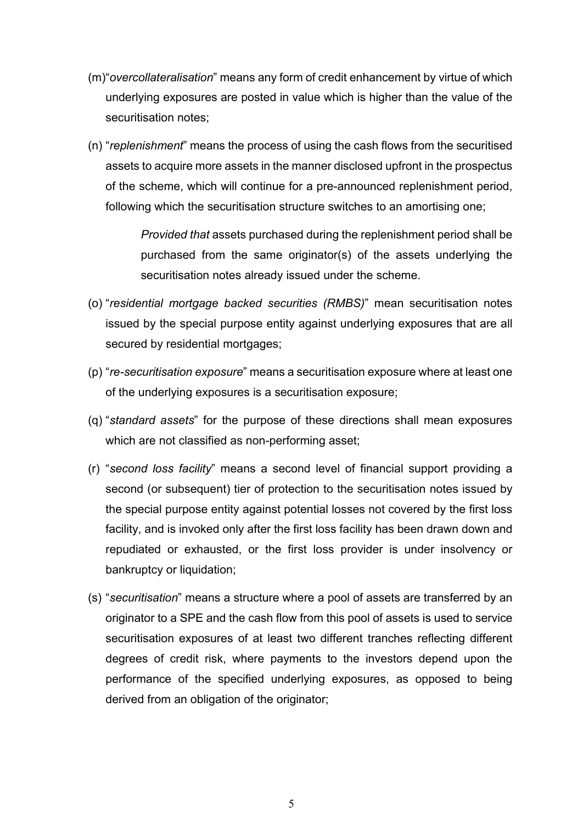- (m)"*overcollateralisation*" means any form of credit enhancement by virtue of which underlying exposures are posted in value which is higher than the value of the securitisation notes;
- (n) "*replenishment*" means the process of using the cash flows from the securitised assets to acquire more assets in the manner disclosed upfront in the prospectus of the scheme, which will continue for a pre-announced replenishment period, following which the securitisation structure switches to an amortising one;

*Provided that* assets purchased during the replenishment period shall be purchased from the same originator(s) of the assets underlying the securitisation notes already issued under the scheme.

- (o) "*residential mortgage backed securities (RMBS)*" mean securitisation notes issued by the special purpose entity against underlying exposures that are all secured by residential mortgages;
- (p) "*re-securitisation exposure*" means a securitisation exposure where at least one of the underlying exposures is a securitisation exposure;
- (q) "*standard assets*" for the purpose of these directions shall mean exposures which are not classified as non-performing asset;
- (r) "*second loss facility*" means a second level of financial support providing a second (or subsequent) tier of protection to the securitisation notes issued by the special purpose entity against potential losses not covered by the first loss facility, and is invoked only after the first loss facility has been drawn down and repudiated or exhausted, or the first loss provider is under insolvency or bankruptcy or liquidation;
- (s) "*securitisation*" means a structure where a pool of assets are transferred by an originator to a SPE and the cash flow from this pool of assets is used to service securitisation exposures of at least two different tranches reflecting different degrees of credit risk, where payments to the investors depend upon the performance of the specified underlying exposures, as opposed to being derived from an obligation of the originator;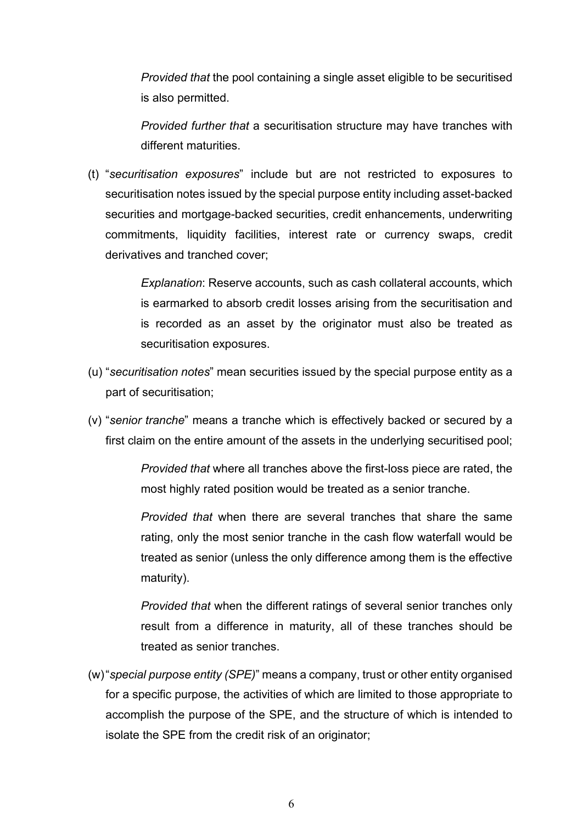*Provided that* the pool containing a single asset eligible to be securitised is also permitted.

*Provided further that* a securitisation structure may have tranches with different maturities.

(t) "*securitisation exposures*" include but are not restricted to exposures to securitisation notes issued by the special purpose entity including asset-backed securities and mortgage-backed securities, credit enhancements, underwriting commitments, liquidity facilities, interest rate or currency swaps, credit derivatives and tranched cover;

> *Explanation*: Reserve accounts, such as cash collateral accounts, which is earmarked to absorb credit losses arising from the securitisation and is recorded as an asset by the originator must also be treated as securitisation exposures.

- (u) "*securitisation notes*" mean securities issued by the special purpose entity as a part of securitisation;
- (v) "*senior tranche*" means a tranche which is effectively backed or secured by a first claim on the entire amount of the assets in the underlying securitised pool;

*Provided that* where all tranches above the first-loss piece are rated, the most highly rated position would be treated as a senior tranche.

*Provided that* when there are several tranches that share the same rating, only the most senior tranche in the cash flow waterfall would be treated as senior (unless the only difference among them is the effective maturity).

*Provided that* when the different ratings of several senior tranches only result from a difference in maturity, all of these tranches should be treated as senior tranches.

(w)"*special purpose entity (SPE)*" means a company, trust or other entity organised for a specific purpose, the activities of which are limited to those appropriate to accomplish the purpose of the SPE, and the structure of which is intended to isolate the SPE from the credit risk of an originator;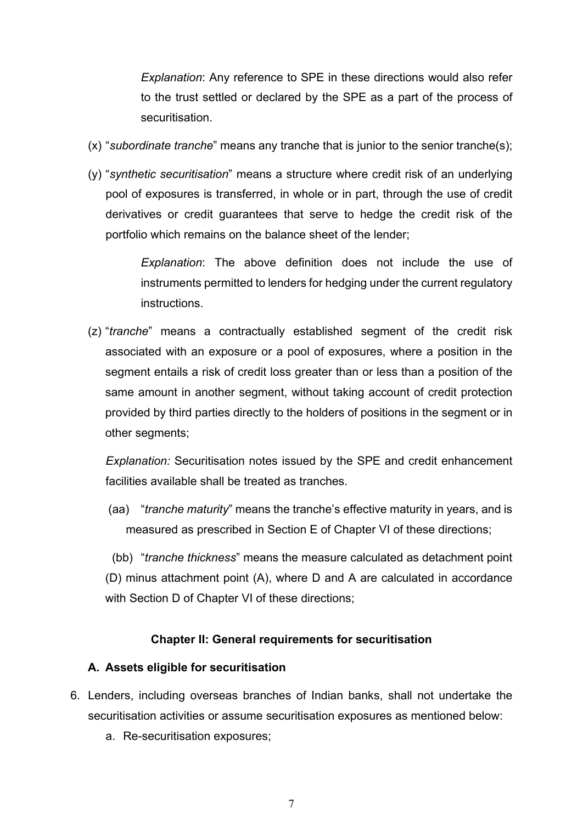*Explanation*: Any reference to SPE in these directions would also refer to the trust settled or declared by the SPE as a part of the process of securitisation.

- (x) "*subordinate tranche*" means any tranche that is junior to the senior tranche(s);
- (y) "*synthetic securitisation*" means a structure where credit risk of an underlying pool of exposures is transferred, in whole or in part, through the use of credit derivatives or credit guarantees that serve to hedge the credit risk of the portfolio which remains on the balance sheet of the lender;

*Explanation*: The above definition does not include the use of instruments permitted to lenders for hedging under the current regulatory instructions.

(z) "*tranche*" means a contractually established segment of the credit risk associated with an exposure or a pool of exposures, where a position in the segment entails a risk of credit loss greater than or less than a position of the same amount in another segment, without taking account of credit protection provided by third parties directly to the holders of positions in the segment or in other segments;

*Explanation:* Securitisation notes issued by the SPE and credit enhancement facilities available shall be treated as tranches.

(aa) "*tranche maturity*" means the tranche's effective maturity in years, and is measured as prescribed in Section E of Chapter VI of these directions;

(bb) "*tranche thickness*" means the measure calculated as detachment point (D) minus attachment point (A), where D and A are calculated in accordance with Section D of Chapter VI of these directions;

#### **Chapter II: General requirements for securitisation**

#### **A. Assets eligible for securitisation**

- 6. Lenders, including overseas branches of Indian banks, shall not undertake the securitisation activities or assume securitisation exposures as mentioned below:
	- a. Re-securitisation exposures;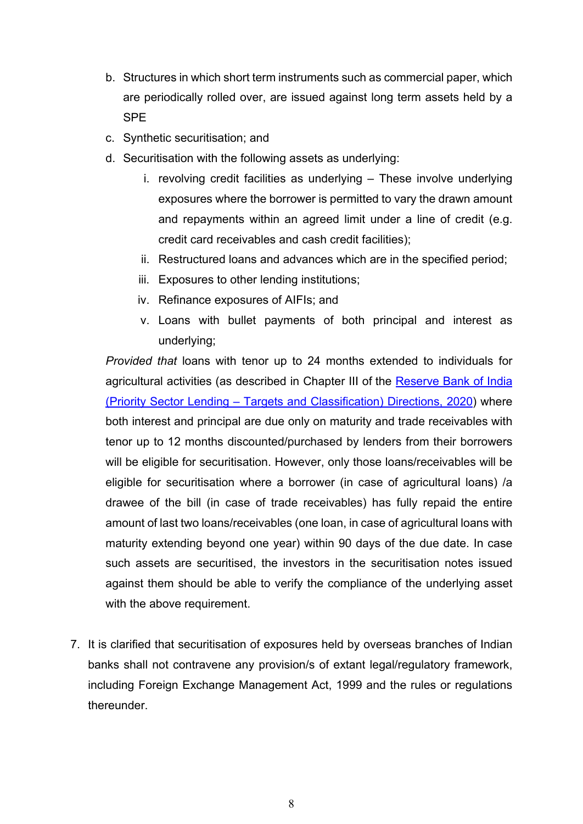- b. Structures in which short term instruments such as commercial paper, which are periodically rolled over, are issued against long term assets held by a **SPE**
- c. Synthetic securitisation; and
- d. Securitisation with the following assets as underlying:
	- i. revolving credit facilities as underlying These involve underlying exposures where the borrower is permitted to vary the drawn amount and repayments within an agreed limit under a line of credit (e.g. credit card receivables and cash credit facilities);
	- ii. Restructured loans and advances which are in the specified period;
	- iii. Exposures to other lending institutions;
	- iv. Refinance exposures of AIFIs; and
	- v. Loans with bullet payments of both principal and interest as underlying;

*Provided that* loans with tenor up to 24 months extended to individuals for agricultural activities (as described in Chapter III of the [Reserve Bank of India](https://www.rbi.org.in/Scripts/BS_ViewMasDirections.aspx?id=11959)  (Priority Sector Lending – [Targets and Classification\) Directions, 2020\)](https://www.rbi.org.in/Scripts/BS_ViewMasDirections.aspx?id=11959) where both interest and principal are due only on maturity and trade receivables with tenor up to 12 months discounted/purchased by lenders from their borrowers will be eligible for securitisation. However, only those loans/receivables will be eligible for securitisation where a borrower (in case of agricultural loans) /a drawee of the bill (in case of trade receivables) has fully repaid the entire amount of last two loans/receivables (one loan, in case of agricultural loans with maturity extending beyond one year) within 90 days of the due date. In case such assets are securitised, the investors in the securitisation notes issued against them should be able to verify the compliance of the underlying asset with the above requirement.

7. It is clarified that securitisation of exposures held by overseas branches of Indian banks shall not contravene any provision/s of extant legal/regulatory framework, including Foreign Exchange Management Act, 1999 and the rules or regulations thereunder.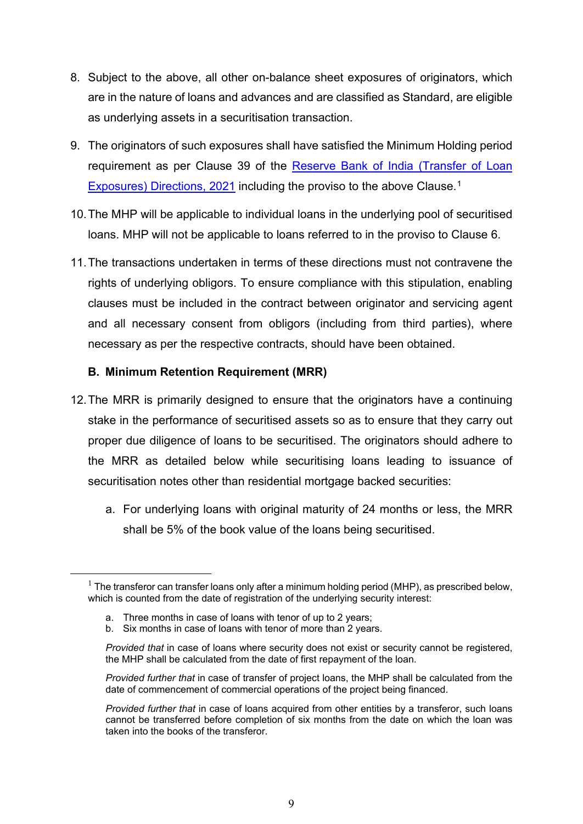- 8. Subject to the above, all other on-balance sheet exposures of originators, which are in the nature of loans and advances and are classified as Standard, are eligible as underlying assets in a securitisation transaction.
- 9. The originators of such exposures shall have satisfied the Minimum Holding period requirement as per Clause 39 of the [Reserve Bank of India \(Transfer](https://www.rbi.org.in/Scripts/BS_ViewMasDirections.aspx?id=12166) of Loan [Exposures\) Directions, 2021](https://www.rbi.org.in/Scripts/BS_ViewMasDirections.aspx?id=12166) including the proviso to the above Clause.<sup>[1](#page-8-0)</sup>
- 10.The MHP will be applicable to individual loans in the underlying pool of securitised loans. MHP will not be applicable to loans referred to in the proviso to Clause 6.
- 11.The transactions undertaken in terms of these directions must not contravene the rights of underlying obligors. To ensure compliance with this stipulation, enabling clauses must be included in the contract between originator and servicing agent and all necessary consent from obligors (including from third parties), where necessary as per the respective contracts, should have been obtained.

## **B. Minimum Retention Requirement (MRR)**

- 12.The MRR is primarily designed to ensure that the originators have a continuing stake in the performance of securitised assets so as to ensure that they carry out proper due diligence of loans to be securitised. The originators should adhere to the MRR as detailed below while securitising loans leading to issuance of securitisation notes other than residential mortgage backed securities:
	- a. For underlying loans with original maturity of 24 months or less, the MRR shall be 5% of the book value of the loans being securitised.

<span id="page-8-0"></span> $1$  The transferor can transfer loans only after a minimum holding period (MHP), as prescribed below, which is counted from the date of registration of the underlying security interest:

a. Three months in case of loans with tenor of up to 2 years;

b. Six months in case of loans with tenor of more than 2 years.

*Provided that* in case of loans where security does not exist or security cannot be registered, the MHP shall be calculated from the date of first repayment of the loan.

*Provided further that* in case of transfer of project loans, the MHP shall be calculated from the date of commencement of commercial operations of the project being financed.

*Provided further that* in case of loans acquired from other entities by a transferor, such loans cannot be transferred before completion of six months from the date on which the loan was taken into the books of the transferor.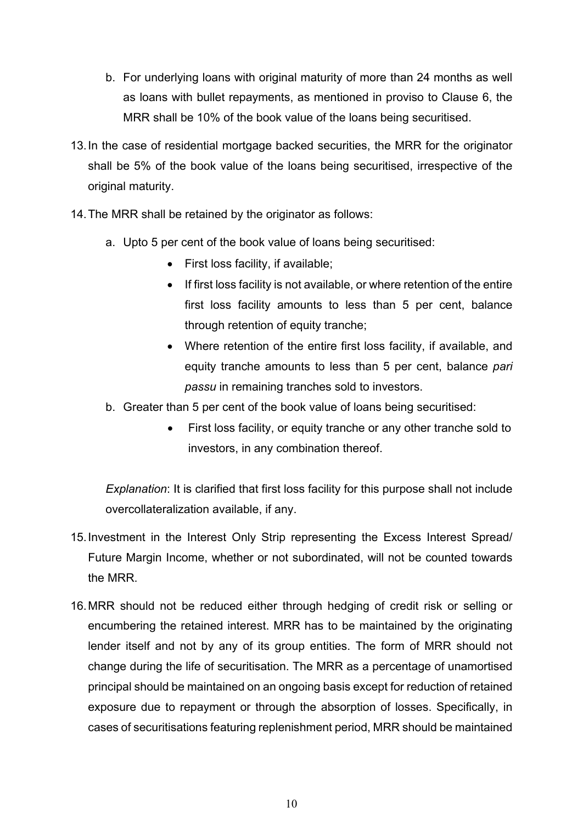- b. For underlying loans with original maturity of more than 24 months as well as loans with bullet repayments, as mentioned in proviso to Clause 6, the MRR shall be 10% of the book value of the loans being securitised.
- 13.In the case of residential mortgage backed securities, the MRR for the originator shall be 5% of the book value of the loans being securitised, irrespective of the original maturity.
- 14.The MRR shall be retained by the originator as follows:
	- a. Upto 5 per cent of the book value of loans being securitised:
		- First loss facility, if available;
		- If first loss facility is not available, or where retention of the entire first loss facility amounts to less than 5 per cent, balance through retention of equity tranche;
		- Where retention of the entire first loss facility, if available, and equity tranche amounts to less than 5 per cent, balance *pari passu* in remaining tranches sold to investors.
	- b. Greater than 5 per cent of the book value of loans being securitised:
		- First loss facility, or equity tranche or any other tranche sold to investors, in any combination thereof.

*Explanation*: It is clarified that first loss facility for this purpose shall not include overcollateralization available, if any.

- 15.Investment in the Interest Only Strip representing the Excess Interest Spread/ Future Margin Income, whether or not subordinated, will not be counted towards the MRR.
- 16.MRR should not be reduced either through hedging of credit risk or selling or encumbering the retained interest. MRR has to be maintained by the originating lender itself and not by any of its group entities. The form of MRR should not change during the life of securitisation. The MRR as a percentage of unamortised principal should be maintained on an ongoing basis except for reduction of retained exposure due to repayment or through the absorption of losses. Specifically, in cases of securitisations featuring replenishment period, MRR should be maintained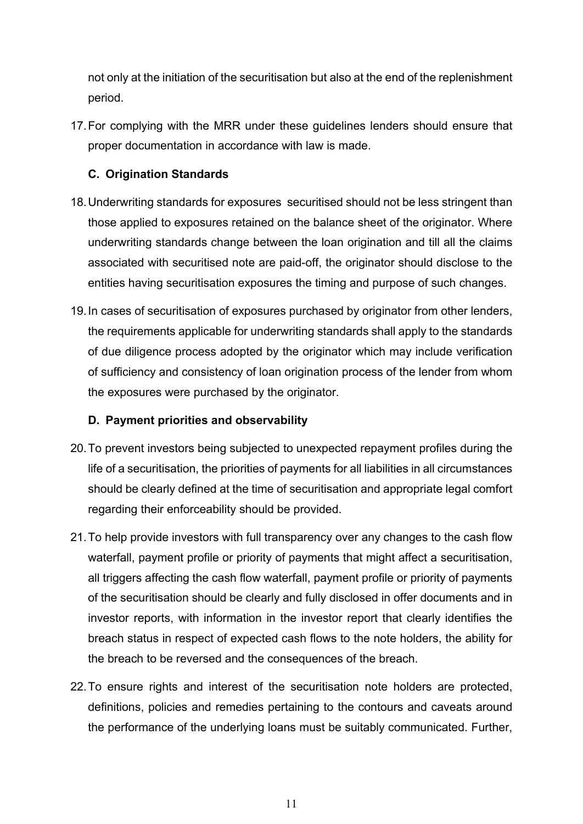not only at the initiation of the securitisation but also at the end of the replenishment period.

17.For complying with the MRR under these guidelines lenders should ensure that proper documentation in accordance with law is made.

# **C. Origination Standards**

- 18.Underwriting standards for exposures securitised should not be less stringent than those applied to exposures retained on the balance sheet of the originator. Where underwriting standards change between the loan origination and till all the claims associated with securitised note are paid-off, the originator should disclose to the entities having securitisation exposures the timing and purpose of such changes.
- 19.In cases of securitisation of exposures purchased by originator from other lenders, the requirements applicable for underwriting standards shall apply to the standards of due diligence process adopted by the originator which may include verification of sufficiency and consistency of loan origination process of the lender from whom the exposures were purchased by the originator.

# **D. Payment priorities and observability**

- 20.To prevent investors being subjected to unexpected repayment profiles during the life of a securitisation, the priorities of payments for all liabilities in all circumstances should be clearly defined at the time of securitisation and appropriate legal comfort regarding their enforceability should be provided.
- 21.To help provide investors with full transparency over any changes to the cash flow waterfall, payment profile or priority of payments that might affect a securitisation, all triggers affecting the cash flow waterfall, payment profile or priority of payments of the securitisation should be clearly and fully disclosed in offer documents and in investor reports, with information in the investor report that clearly identifies the breach status in respect of expected cash flows to the note holders, the ability for the breach to be reversed and the consequences of the breach.
- 22.To ensure rights and interest of the securitisation note holders are protected, definitions, policies and remedies pertaining to the contours and caveats around the performance of the underlying loans must be suitably communicated. Further,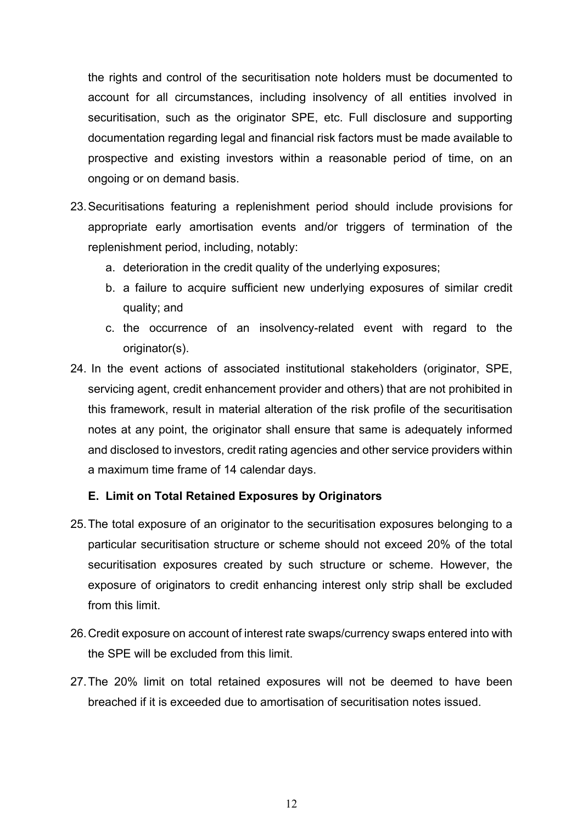the rights and control of the securitisation note holders must be documented to account for all circumstances, including insolvency of all entities involved in securitisation, such as the originator SPE, etc. Full disclosure and supporting documentation regarding legal and financial risk factors must be made available to prospective and existing investors within a reasonable period of time, on an ongoing or on demand basis.

- 23.Securitisations featuring a replenishment period should include provisions for appropriate early amortisation events and/or triggers of termination of the replenishment period, including, notably:
	- a. deterioration in the credit quality of the underlying exposures;
	- b. a failure to acquire sufficient new underlying exposures of similar credit quality; and
	- c. the occurrence of an insolvency-related event with regard to the originator(s).
- 24. In the event actions of associated institutional stakeholders (originator, SPE, servicing agent, credit enhancement provider and others) that are not prohibited in this framework, result in material alteration of the risk profile of the securitisation notes at any point, the originator shall ensure that same is adequately informed and disclosed to investors, credit rating agencies and other service providers within a maximum time frame of 14 calendar days.

### **E. Limit on Total Retained Exposures by Originators**

- 25.The total exposure of an originator to the securitisation exposures belonging to a particular securitisation structure or scheme should not exceed 20% of the total securitisation exposures created by such structure or scheme. However, the exposure of originators to credit enhancing interest only strip shall be excluded from this limit.
- 26.Credit exposure on account of interest rate swaps/currency swaps entered into with the SPE will be excluded from this limit.
- 27.The 20% limit on total retained exposures will not be deemed to have been breached if it is exceeded due to amortisation of securitisation notes issued.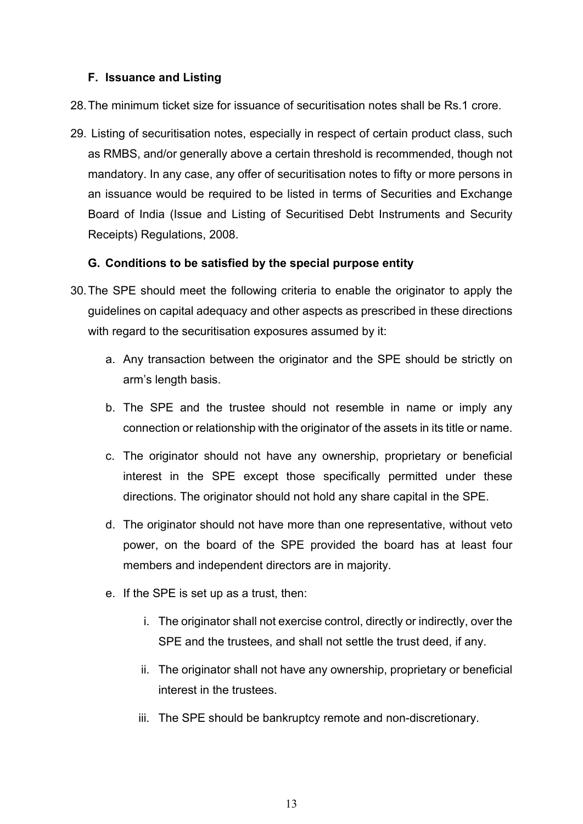## **F. Issuance and Listing**

28.The minimum ticket size for issuance of securitisation notes shall be Rs.1 crore.

29. Listing of securitisation notes, especially in respect of certain product class, such as RMBS, and/or generally above a certain threshold is recommended, though not mandatory. In any case, any offer of securitisation notes to fifty or more persons in an issuance would be required to be listed in terms of Securities and Exchange Board of India (Issue and Listing of Securitised Debt Instruments and Security Receipts) Regulations, 2008.

## **G. Conditions to be satisfied by the special purpose entity**

- 30.The SPE should meet the following criteria to enable the originator to apply the guidelines on capital adequacy and other aspects as prescribed in these directions with regard to the securitisation exposures assumed by it:
	- a. Any transaction between the originator and the SPE should be strictly on arm's length basis.
	- b. The SPE and the trustee should not resemble in name or imply any connection or relationship with the originator of the assets in its title or name.
	- c. The originator should not have any ownership, proprietary or beneficial interest in the SPE except those specifically permitted under these directions. The originator should not hold any share capital in the SPE.
	- d. The originator should not have more than one representative, without veto power, on the board of the SPE provided the board has at least four members and independent directors are in majority.
	- e. If the SPE is set up as a trust, then:
		- i. The originator shall not exercise control, directly or indirectly, over the SPE and the trustees, and shall not settle the trust deed, if any.
		- ii. The originator shall not have any ownership, proprietary or beneficial interest in the trustees.
		- iii. The SPE should be bankruptcy remote and non-discretionary.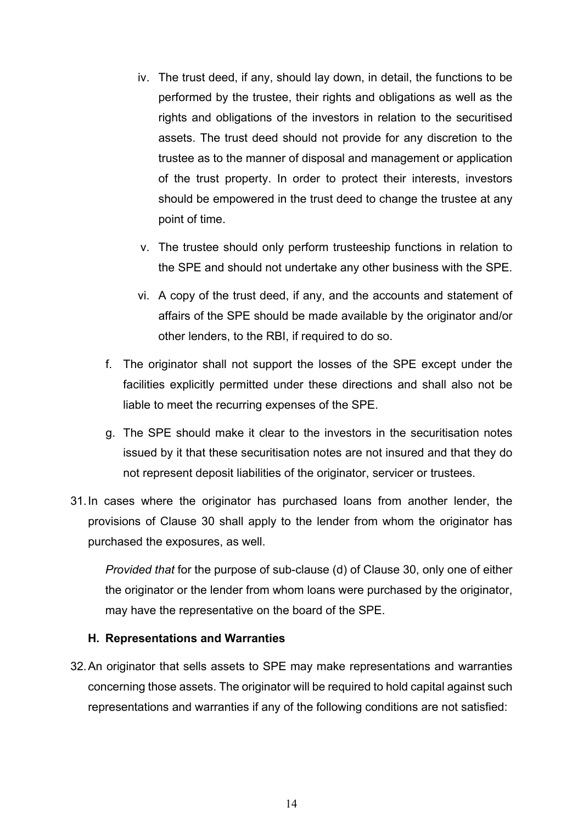- iv. The trust deed, if any, should lay down, in detail, the functions to be performed by the trustee, their rights and obligations as well as the rights and obligations of the investors in relation to the securitised assets. The trust deed should not provide for any discretion to the trustee as to the manner of disposal and management or application of the trust property. In order to protect their interests, investors should be empowered in the trust deed to change the trustee at any point of time.
- v. The trustee should only perform trusteeship functions in relation to the SPE and should not undertake any other business with the SPE.
- vi. A copy of the trust deed, if any, and the accounts and statement of affairs of the SPE should be made available by the originator and/or other lenders, to the RBI, if required to do so.
- f. The originator shall not support the losses of the SPE except under the facilities explicitly permitted under these directions and shall also not be liable to meet the recurring expenses of the SPE.
- g. The SPE should make it clear to the investors in the securitisation notes issued by it that these securitisation notes are not insured and that they do not represent deposit liabilities of the originator, servicer or trustees.
- 31.In cases where the originator has purchased loans from another lender, the provisions of Clause 30 shall apply to the lender from whom the originator has purchased the exposures, as well.

*Provided that* for the purpose of sub-clause (d) of Clause 30, only one of either the originator or the lender from whom loans were purchased by the originator, may have the representative on the board of the SPE.

### **H. Representations and Warranties**

32.An originator that sells assets to SPE may make representations and warranties concerning those assets. The originator will be required to hold capital against such representations and warranties if any of the following conditions are not satisfied: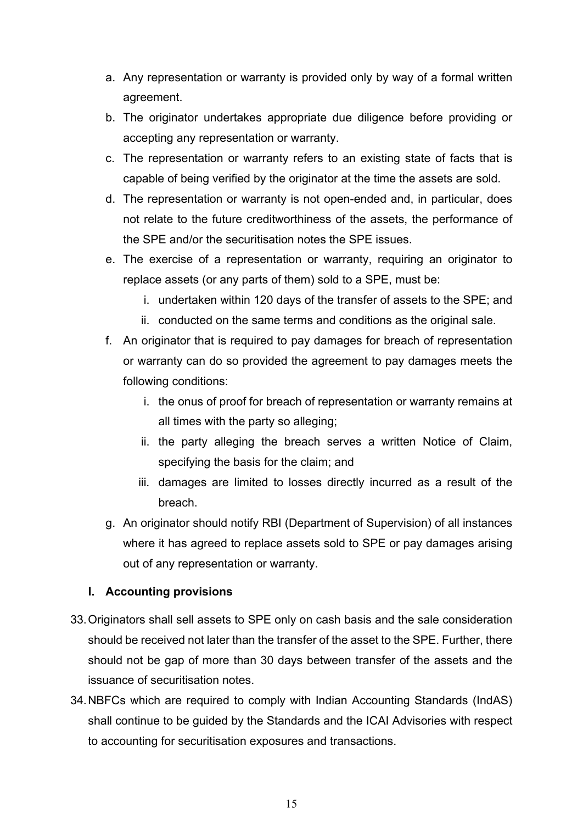- a. Any representation or warranty is provided only by way of a formal written agreement.
- b. The originator undertakes appropriate due diligence before providing or accepting any representation or warranty.
- c. The representation or warranty refers to an existing state of facts that is capable of being verified by the originator at the time the assets are sold.
- d. The representation or warranty is not open-ended and, in particular, does not relate to the future creditworthiness of the assets, the performance of the SPE and/or the securitisation notes the SPE issues.
- e. The exercise of a representation or warranty, requiring an originator to replace assets (or any parts of them) sold to a SPE, must be:
	- i. undertaken within 120 days of the transfer of assets to the SPE; and
	- ii. conducted on the same terms and conditions as the original sale.
- f. An originator that is required to pay damages for breach of representation or warranty can do so provided the agreement to pay damages meets the following conditions:
	- i. the onus of proof for breach of representation or warranty remains at all times with the party so alleging;
	- ii. the party alleging the breach serves a written Notice of Claim, specifying the basis for the claim; and
	- iii. damages are limited to losses directly incurred as a result of the breach.
- g. An originator should notify RBI (Department of Supervision) of all instances where it has agreed to replace assets sold to SPE or pay damages arising out of any representation or warranty.

# **I. Accounting provisions**

- 33.Originators shall sell assets to SPE only on cash basis and the sale consideration should be received not later than the transfer of the asset to the SPE. Further, there should not be gap of more than 30 days between transfer of the assets and the issuance of securitisation notes.
- 34.NBFCs which are required to comply with Indian Accounting Standards (IndAS) shall continue to be guided by the Standards and the ICAI Advisories with respect to accounting for securitisation exposures and transactions.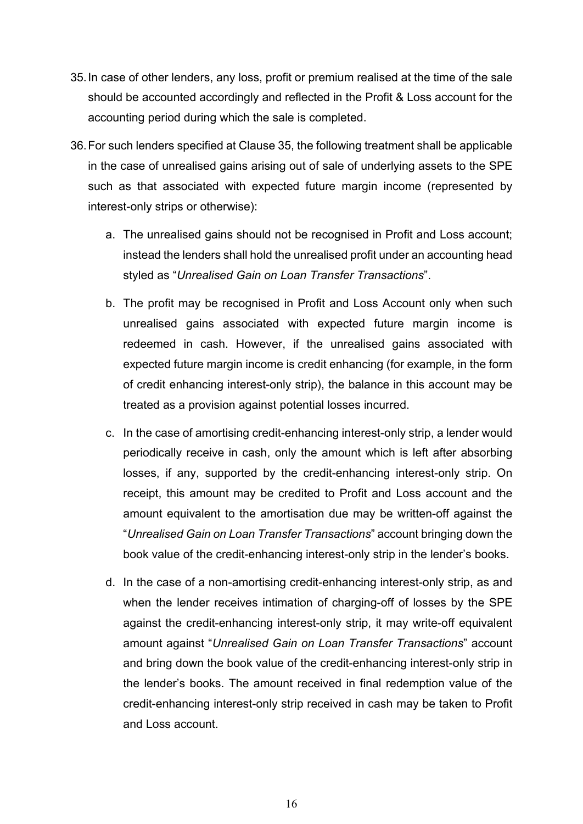- 35.In case of other lenders, any loss, profit or premium realised at the time of the sale should be accounted accordingly and reflected in the Profit & Loss account for the accounting period during which the sale is completed.
- 36.For such lenders specified at Clause 35, the following treatment shall be applicable in the case of unrealised gains arising out of sale of underlying assets to the SPE such as that associated with expected future margin income (represented by interest-only strips or otherwise):
	- a. The unrealised gains should not be recognised in Profit and Loss account; instead the lenders shall hold the unrealised profit under an accounting head styled as "*Unrealised Gain on Loan Transfer Transactions*".
	- b. The profit may be recognised in Profit and Loss Account only when such unrealised gains associated with expected future margin income is redeemed in cash. However, if the unrealised gains associated with expected future margin income is credit enhancing (for example, in the form of credit enhancing interest-only strip), the balance in this account may be treated as a provision against potential losses incurred.
	- c. In the case of amortising credit-enhancing interest-only strip, a lender would periodically receive in cash, only the amount which is left after absorbing losses, if any, supported by the credit-enhancing interest-only strip. On receipt, this amount may be credited to Profit and Loss account and the amount equivalent to the amortisation due may be written-off against the "*Unrealised Gain on Loan Transfer Transactions*" account bringing down the book value of the credit-enhancing interest-only strip in the lender's books.
	- d. In the case of a non-amortising credit-enhancing interest-only strip, as and when the lender receives intimation of charging-off of losses by the SPE against the credit-enhancing interest-only strip, it may write-off equivalent amount against "*Unrealised Gain on Loan Transfer Transactions*" account and bring down the book value of the credit-enhancing interest-only strip in the lender's books. The amount received in final redemption value of the credit-enhancing interest-only strip received in cash may be taken to Profit and Loss account.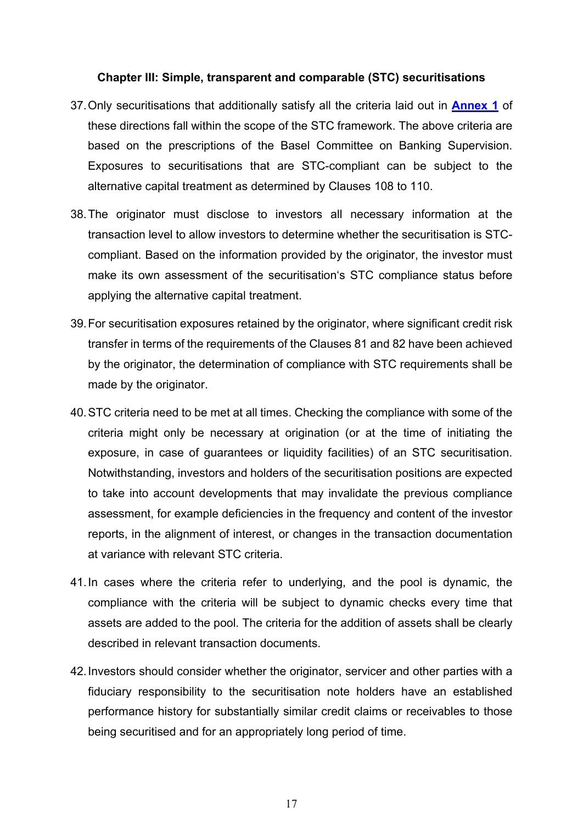### **Chapter III: Simple, transparent and comparable (STC) securitisations**

- 37.Only securitisations that additionally satisfy all the criteria laid out in **[Annex 1](#page-44-0)** of these directions fall within the scope of the STC framework. The above criteria are based on the prescriptions of the Basel Committee on Banking Supervision. Exposures to securitisations that are STC-compliant can be subject to the alternative capital treatment as determined by Clauses 108 to 110.
- 38.The originator must disclose to investors all necessary information at the transaction level to allow investors to determine whether the securitisation is STCcompliant. Based on the information provided by the originator, the investor must make its own assessment of the securitisation's STC compliance status before applying the alternative capital treatment.
- 39.For securitisation exposures retained by the originator, where significant credit risk transfer in terms of the requirements of the Clauses 81 and 82 have been achieved by the originator, the determination of compliance with STC requirements shall be made by the originator.
- 40.STC criteria need to be met at all times. Checking the compliance with some of the criteria might only be necessary at origination (or at the time of initiating the exposure, in case of guarantees or liquidity facilities) of an STC securitisation. Notwithstanding, investors and holders of the securitisation positions are expected to take into account developments that may invalidate the previous compliance assessment, for example deficiencies in the frequency and content of the investor reports, in the alignment of interest, or changes in the transaction documentation at variance with relevant STC criteria.
- 41.In cases where the criteria refer to underlying, and the pool is dynamic, the compliance with the criteria will be subject to dynamic checks every time that assets are added to the pool. The criteria for the addition of assets shall be clearly described in relevant transaction documents.
- 42.Investors should consider whether the originator, servicer and other parties with a fiduciary responsibility to the securitisation note holders have an established performance history for substantially similar credit claims or receivables to those being securitised and for an appropriately long period of time.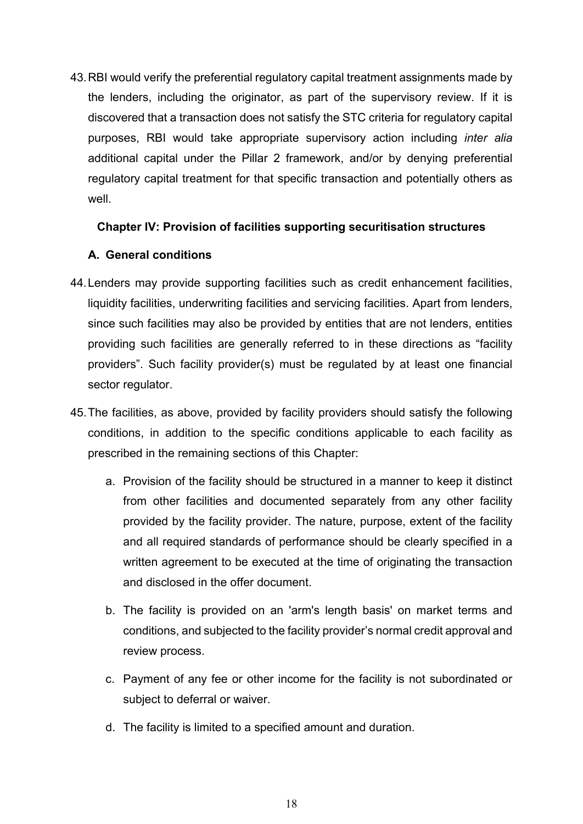43.RBI would verify the preferential regulatory capital treatment assignments made by the lenders, including the originator, as part of the supervisory review. If it is discovered that a transaction does not satisfy the STC criteria for regulatory capital purposes, RBI would take appropriate supervisory action including *inter alia* additional capital under the Pillar 2 framework, and/or by denying preferential regulatory capital treatment for that specific transaction and potentially others as well.

## **Chapter IV: Provision of facilities supporting securitisation structures**

## **A. General conditions**

- 44.Lenders may provide supporting facilities such as credit enhancement facilities, liquidity facilities, underwriting facilities and servicing facilities. Apart from lenders, since such facilities may also be provided by entities that are not lenders, entities providing such facilities are generally referred to in these directions as "facility providers". Such facility provider(s) must be regulated by at least one financial sector regulator.
- 45.The facilities, as above, provided by facility providers should satisfy the following conditions, in addition to the specific conditions applicable to each facility as prescribed in the remaining sections of this Chapter:
	- a. Provision of the facility should be structured in a manner to keep it distinct from other facilities and documented separately from any other facility provided by the facility provider. The nature, purpose, extent of the facility and all required standards of performance should be clearly specified in a written agreement to be executed at the time of originating the transaction and disclosed in the offer document.
	- b. The facility is provided on an 'arm's length basis' on market terms and conditions, and subjected to the facility provider's normal credit approval and review process.
	- c. Payment of any fee or other income for the facility is not subordinated or subject to deferral or waiver.
	- d. The facility is limited to a specified amount and duration.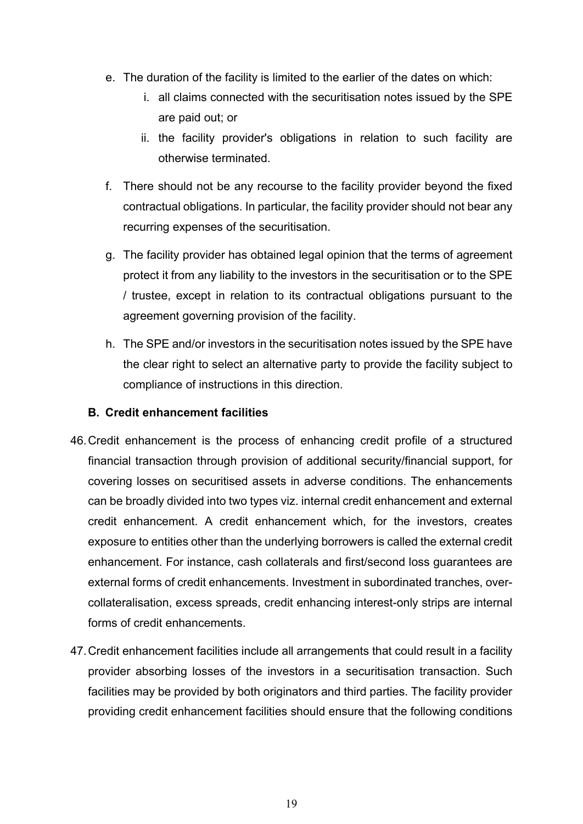- e. The duration of the facility is limited to the earlier of the dates on which:
	- i. all claims connected with the securitisation notes issued by the SPE are paid out; or
	- ii. the facility provider's obligations in relation to such facility are otherwise terminated.
- f. There should not be any recourse to the facility provider beyond the fixed contractual obligations. In particular, the facility provider should not bear any recurring expenses of the securitisation.
- g. The facility provider has obtained legal opinion that the terms of agreement protect it from any liability to the investors in the securitisation or to the SPE / trustee, except in relation to its contractual obligations pursuant to the agreement governing provision of the facility.
- h. The SPE and/or investors in the securitisation notes issued by the SPE have the clear right to select an alternative party to provide the facility subject to compliance of instructions in this direction.

# **B. Credit enhancement facilities**

- 46.Credit enhancement is the process of enhancing credit profile of a structured financial transaction through provision of additional security/financial support, for covering losses on securitised assets in adverse conditions. The enhancements can be broadly divided into two types viz. internal credit enhancement and external credit enhancement. A credit enhancement which, for the investors, creates exposure to entities other than the underlying borrowers is called the external credit enhancement. For instance, cash collaterals and first/second loss guarantees are external forms of credit enhancements. Investment in subordinated tranches, overcollateralisation, excess spreads, credit enhancing interest-only strips are internal forms of credit enhancements.
- 47.Credit enhancement facilities include all arrangements that could result in a facility provider absorbing losses of the investors in a securitisation transaction. Such facilities may be provided by both originators and third parties. The facility provider providing credit enhancement facilities should ensure that the following conditions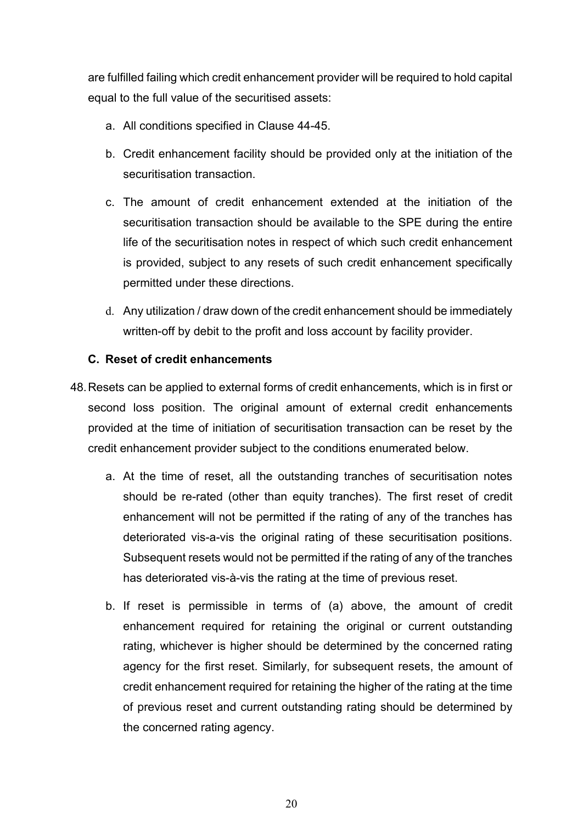are fulfilled failing which credit enhancement provider will be required to hold capital equal to the full value of the securitised assets:

- a. All conditions specified in Clause 44-45.
- b. Credit enhancement facility should be provided only at the initiation of the securitisation transaction.
- c. The amount of credit enhancement extended at the initiation of the securitisation transaction should be available to the SPE during the entire life of the securitisation notes in respect of which such credit enhancement is provided, subject to any resets of such credit enhancement specifically permitted under these directions.
- d. Any utilization / draw down of the credit enhancement should be immediately written-off by debit to the profit and loss account by facility provider.

# **C. Reset of credit enhancements**

- 48.Resets can be applied to external forms of credit enhancements, which is in first or second loss position. The original amount of external credit enhancements provided at the time of initiation of securitisation transaction can be reset by the credit enhancement provider subject to the conditions enumerated below.
	- a. At the time of reset, all the outstanding tranches of securitisation notes should be re-rated (other than equity tranches). The first reset of credit enhancement will not be permitted if the rating of any of the tranches has deteriorated vis-a-vis the original rating of these securitisation positions. Subsequent resets would not be permitted if the rating of any of the tranches has deteriorated vis-à-vis the rating at the time of previous reset.
	- b. If reset is permissible in terms of (a) above, the amount of credit enhancement required for retaining the original or current outstanding rating, whichever is higher should be determined by the concerned rating agency for the first reset. Similarly, for subsequent resets, the amount of credit enhancement required for retaining the higher of the rating at the time of previous reset and current outstanding rating should be determined by the concerned rating agency.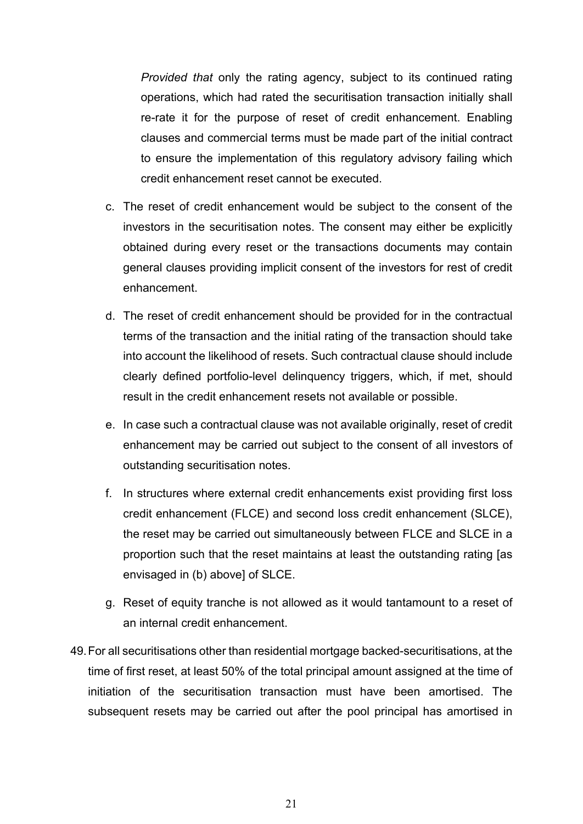*Provided that* only the rating agency, subject to its continued rating operations, which had rated the securitisation transaction initially shall re-rate it for the purpose of reset of credit enhancement. Enabling clauses and commercial terms must be made part of the initial contract to ensure the implementation of this regulatory advisory failing which credit enhancement reset cannot be executed.

- c. The reset of credit enhancement would be subject to the consent of the investors in the securitisation notes. The consent may either be explicitly obtained during every reset or the transactions documents may contain general clauses providing implicit consent of the investors for rest of credit enhancement.
- d. The reset of credit enhancement should be provided for in the contractual terms of the transaction and the initial rating of the transaction should take into account the likelihood of resets. Such contractual clause should include clearly defined portfolio-level delinquency triggers, which, if met, should result in the credit enhancement resets not available or possible.
- e. In case such a contractual clause was not available originally, reset of credit enhancement may be carried out subject to the consent of all investors of outstanding securitisation notes.
- f. In structures where external credit enhancements exist providing first loss credit enhancement (FLCE) and second loss credit enhancement (SLCE), the reset may be carried out simultaneously between FLCE and SLCE in a proportion such that the reset maintains at least the outstanding rating [as envisaged in (b) above] of SLCE.
- g. Reset of equity tranche is not allowed as it would tantamount to a reset of an internal credit enhancement.
- 49.For all securitisations other than residential mortgage backed-securitisations, at the time of first reset, at least 50% of the total principal amount assigned at the time of initiation of the securitisation transaction must have been amortised. The subsequent resets may be carried out after the pool principal has amortised in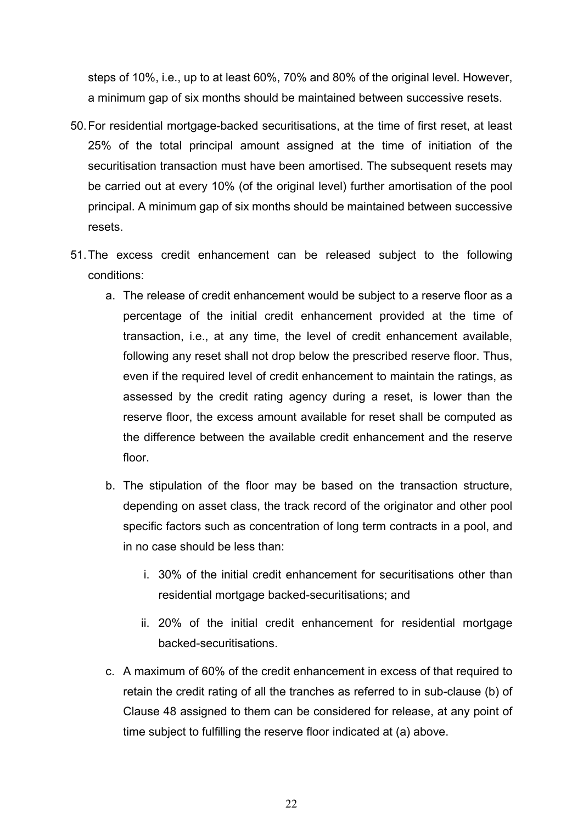steps of 10%, i.e., up to at least 60%, 70% and 80% of the original level. However, a minimum gap of six months should be maintained between successive resets.

- 50.For residential mortgage-backed securitisations, at the time of first reset, at least 25% of the total principal amount assigned at the time of initiation of the securitisation transaction must have been amortised. The subsequent resets may be carried out at every 10% (of the original level) further amortisation of the pool principal. A minimum gap of six months should be maintained between successive resets.
- 51.The excess credit enhancement can be released subject to the following conditions:
	- a. The release of credit enhancement would be subject to a reserve floor as a percentage of the initial credit enhancement provided at the time of transaction, i.e., at any time, the level of credit enhancement available, following any reset shall not drop below the prescribed reserve floor. Thus, even if the required level of credit enhancement to maintain the ratings, as assessed by the credit rating agency during a reset, is lower than the reserve floor, the excess amount available for reset shall be computed as the difference between the available credit enhancement and the reserve floor.
	- b. The stipulation of the floor may be based on the transaction structure, depending on asset class, the track record of the originator and other pool specific factors such as concentration of long term contracts in a pool, and in no case should be less than:
		- i. 30% of the initial credit enhancement for securitisations other than residential mortgage backed-securitisations; and
		- ii. 20% of the initial credit enhancement for residential mortgage backed-securitisations.
	- c. A maximum of 60% of the credit enhancement in excess of that required to retain the credit rating of all the tranches as referred to in sub-clause (b) of Clause 48 assigned to them can be considered for release, at any point of time subject to fulfilling the reserve floor indicated at (a) above.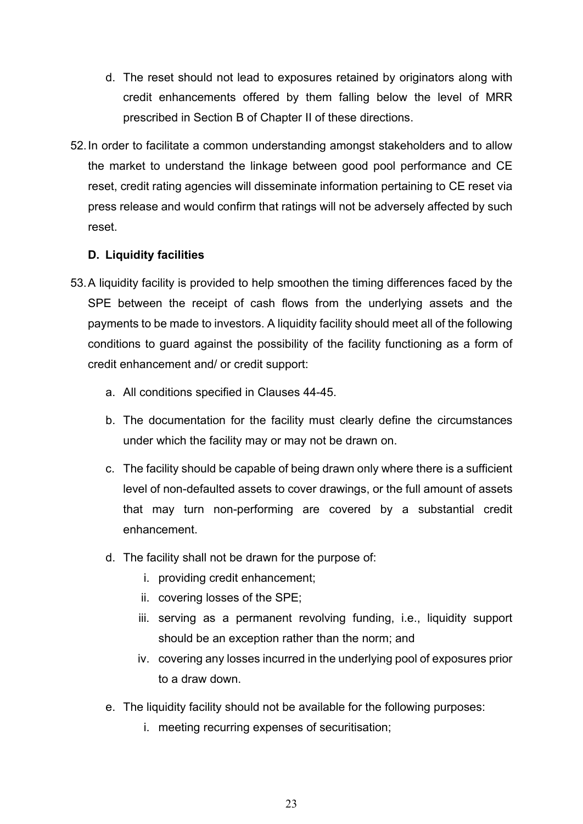- d. The reset should not lead to exposures retained by originators along with credit enhancements offered by them falling below the level of MRR prescribed in Section B of Chapter II of these directions.
- 52.In order to facilitate a common understanding amongst stakeholders and to allow the market to understand the linkage between good pool performance and CE reset, credit rating agencies will disseminate information pertaining to CE reset via press release and would confirm that ratings will not be adversely affected by such reset.

## **D. Liquidity facilities**

- 53.A liquidity facility is provided to help smoothen the timing differences faced by the SPE between the receipt of cash flows from the underlying assets and the payments to be made to investors. A liquidity facility should meet all of the following conditions to guard against the possibility of the facility functioning as a form of credit enhancement and/ or credit support:
	- a. All conditions specified in Clauses 44-45.
	- b. The documentation for the facility must clearly define the circumstances under which the facility may or may not be drawn on.
	- c. The facility should be capable of being drawn only where there is a sufficient level of non-defaulted assets to cover drawings, or the full amount of assets that may turn non-performing are covered by a substantial credit enhancement.
	- d. The facility shall not be drawn for the purpose of:
		- i. providing credit enhancement;
		- ii. covering losses of the SPE;
		- iii. serving as a permanent revolving funding, i.e., liquidity support should be an exception rather than the norm; and
		- iv. covering any losses incurred in the underlying pool of exposures prior to a draw down.
	- e. The liquidity facility should not be available for the following purposes:
		- i. meeting recurring expenses of securitisation;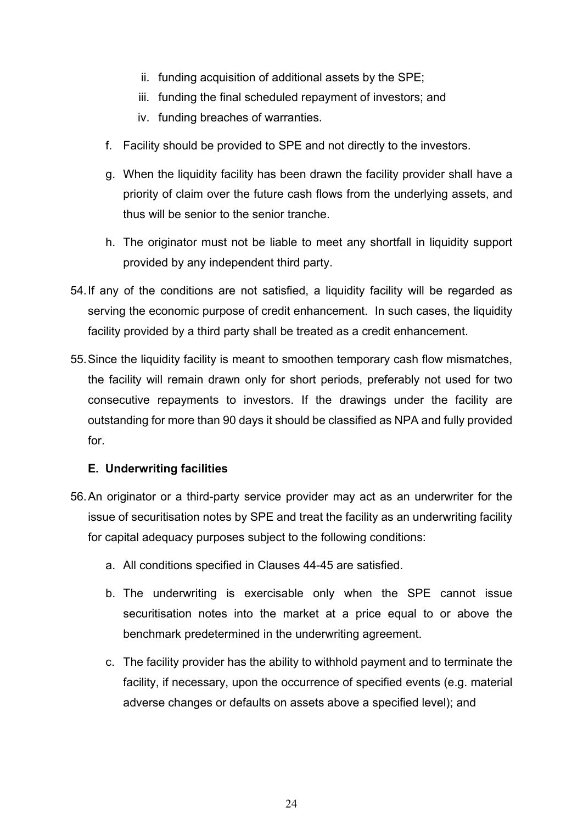- ii. funding acquisition of additional assets by the SPE;
- iii. funding the final scheduled repayment of investors; and
- iv. funding breaches of warranties.
- f. Facility should be provided to SPE and not directly to the investors.
- g. When the liquidity facility has been drawn the facility provider shall have a priority of claim over the future cash flows from the underlying assets, and thus will be senior to the senior tranche.
- h. The originator must not be liable to meet any shortfall in liquidity support provided by any independent third party.
- 54.If any of the conditions are not satisfied, a liquidity facility will be regarded as serving the economic purpose of credit enhancement. In such cases, the liquidity facility provided by a third party shall be treated as a credit enhancement.
- 55.Since the liquidity facility is meant to smoothen temporary cash flow mismatches, the facility will remain drawn only for short periods, preferably not used for two consecutive repayments to investors. If the drawings under the facility are outstanding for more than 90 days it should be classified as NPA and fully provided for.

# **E. Underwriting facilities**

- 56.An originator or a third-party service provider may act as an underwriter for the issue of securitisation notes by SPE and treat the facility as an underwriting facility for capital adequacy purposes subject to the following conditions:
	- a. All conditions specified in Clauses 44-45 are satisfied.
	- b. The underwriting is exercisable only when the SPE cannot issue securitisation notes into the market at a price equal to or above the benchmark predetermined in the underwriting agreement.
	- c. The facility provider has the ability to withhold payment and to terminate the facility, if necessary, upon the occurrence of specified events (e.g. material adverse changes or defaults on assets above a specified level); and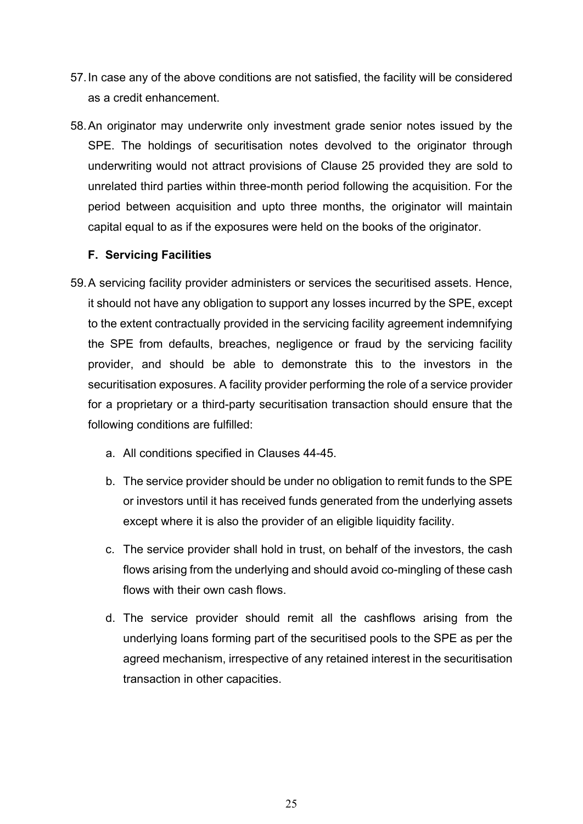- 57.In case any of the above conditions are not satisfied, the facility will be considered as a credit enhancement.
- 58.An originator may underwrite only investment grade senior notes issued by the SPE. The holdings of securitisation notes devolved to the originator through underwriting would not attract provisions of Clause 25 provided they are sold to unrelated third parties within three-month period following the acquisition. For the period between acquisition and upto three months, the originator will maintain capital equal to as if the exposures were held on the books of the originator.

## **F. Servicing Facilities**

- 59.A servicing facility provider administers or services the securitised assets. Hence, it should not have any obligation to support any losses incurred by the SPE, except to the extent contractually provided in the servicing facility agreement indemnifying the SPE from defaults, breaches, negligence or fraud by the servicing facility provider, and should be able to demonstrate this to the investors in the securitisation exposures. A facility provider performing the role of a service provider for a proprietary or a third-party securitisation transaction should ensure that the following conditions are fulfilled:
	- a. All conditions specified in Clauses 44-45.
	- b. The service provider should be under no obligation to remit funds to the SPE or investors until it has received funds generated from the underlying assets except where it is also the provider of an eligible liquidity facility.
	- c. The service provider shall hold in trust, on behalf of the investors, the cash flows arising from the underlying and should avoid co-mingling of these cash flows with their own cash flows.
	- d. The service provider should remit all the cashflows arising from the underlying loans forming part of the securitised pools to the SPE as per the agreed mechanism, irrespective of any retained interest in the securitisation transaction in other capacities.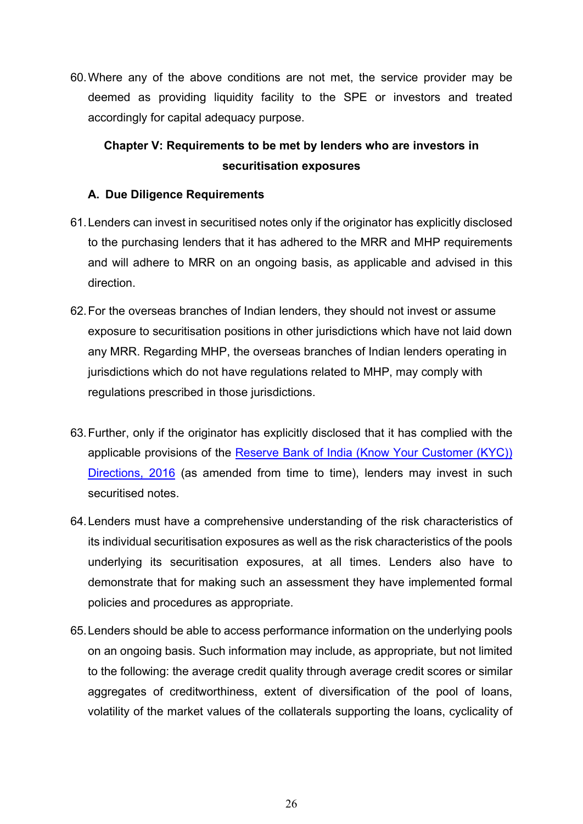60.Where any of the above conditions are not met, the service provider may be deemed as providing liquidity facility to the SPE or investors and treated accordingly for capital adequacy purpose.

# **Chapter V: Requirements to be met by lenders who are investors in securitisation exposures**

# **A. Due Diligence Requirements**

- 61.Lenders can invest in securitised notes only if the originator has explicitly disclosed to the purchasing lenders that it has adhered to the MRR and MHP requirements and will adhere to MRR on an ongoing basis, as applicable and advised in this direction.
- 62.For the overseas branches of Indian lenders, they should not invest or assume exposure to securitisation positions in other jurisdictions which have not laid down any MRR. Regarding MHP, the overseas branches of Indian lenders operating in jurisdictions which do not have regulations related to MHP, may comply with regulations prescribed in those jurisdictions.
- 63.Further, only if the originator has explicitly disclosed that it has complied with the applicable provisions of the [Reserve Bank of India \(Know Your Customer \(KYC\)\)](https://www.rbi.org.in/Scripts/BS_ViewMasDirections.aspx?id=11566)  [Directions, 2016](https://www.rbi.org.in/Scripts/BS_ViewMasDirections.aspx?id=11566) (as amended from time to time), lenders may invest in such securitised notes.
- 64.Lenders must have a comprehensive understanding of the risk characteristics of its individual securitisation exposures as well as the risk characteristics of the pools underlying its securitisation exposures, at all times. Lenders also have to demonstrate that for making such an assessment they have implemented formal policies and procedures as appropriate.
- 65.Lenders should be able to access performance information on the underlying pools on an ongoing basis. Such information may include, as appropriate, but not limited to the following: the average credit quality through average credit scores or similar aggregates of creditworthiness, extent of diversification of the pool of loans, volatility of the market values of the collaterals supporting the loans, cyclicality of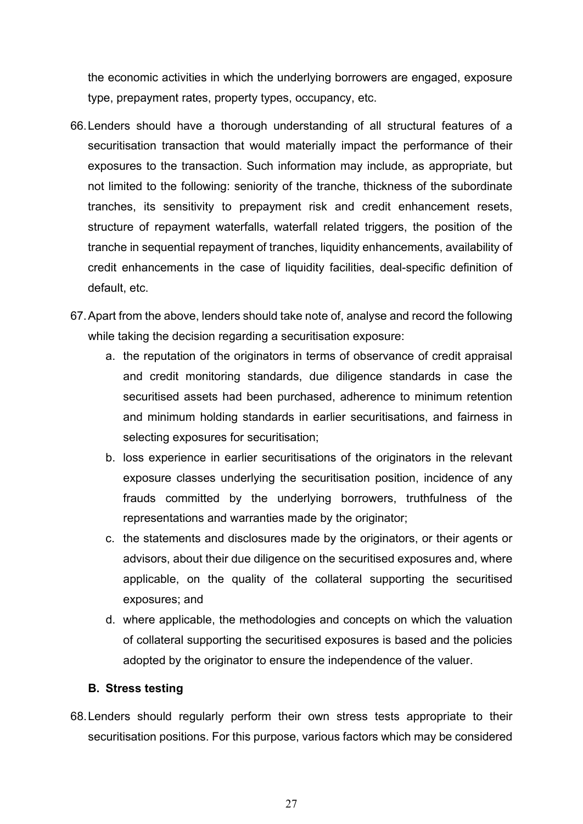the economic activities in which the underlying borrowers are engaged, exposure type, prepayment rates, property types, occupancy, etc.

- 66.Lenders should have a thorough understanding of all structural features of a securitisation transaction that would materially impact the performance of their exposures to the transaction. Such information may include, as appropriate, but not limited to the following: seniority of the tranche, thickness of the subordinate tranches, its sensitivity to prepayment risk and credit enhancement resets, structure of repayment waterfalls, waterfall related triggers, the position of the tranche in sequential repayment of tranches, liquidity enhancements, availability of credit enhancements in the case of liquidity facilities, deal-specific definition of default, etc.
- 67.Apart from the above, lenders should take note of, analyse and record the following while taking the decision regarding a securitisation exposure:
	- a. the reputation of the originators in terms of observance of credit appraisal and credit monitoring standards, due diligence standards in case the securitised assets had been purchased, adherence to minimum retention and minimum holding standards in earlier securitisations, and fairness in selecting exposures for securitisation;
	- b. loss experience in earlier securitisations of the originators in the relevant exposure classes underlying the securitisation position, incidence of any frauds committed by the underlying borrowers, truthfulness of the representations and warranties made by the originator;
	- c. the statements and disclosures made by the originators, or their agents or advisors, about their due diligence on the securitised exposures and, where applicable, on the quality of the collateral supporting the securitised exposures; and
	- d. where applicable, the methodologies and concepts on which the valuation of collateral supporting the securitised exposures is based and the policies adopted by the originator to ensure the independence of the valuer.

### **B. Stress testing**

68.Lenders should regularly perform their own stress tests appropriate to their securitisation positions. For this purpose, various factors which may be considered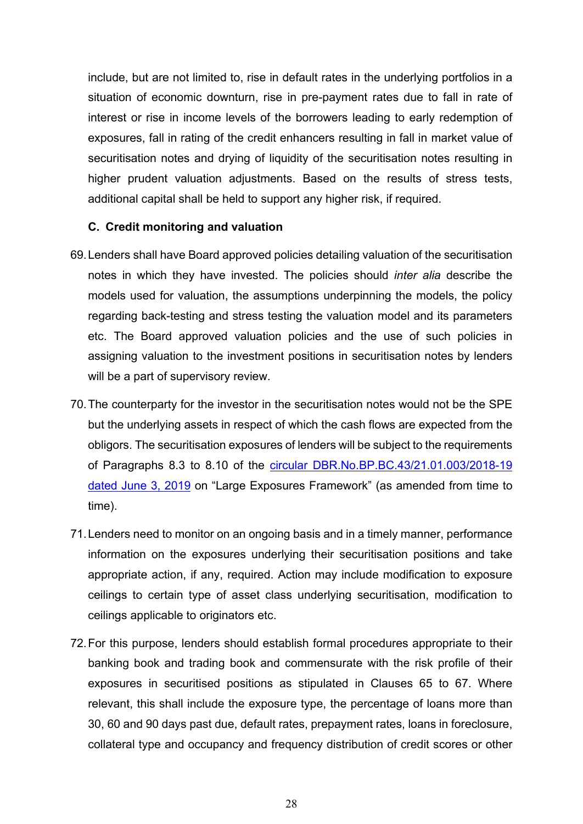include, but are not limited to, rise in default rates in the underlying portfolios in a situation of economic downturn, rise in pre-payment rates due to fall in rate of interest or rise in income levels of the borrowers leading to early redemption of exposures, fall in rating of the credit enhancers resulting in fall in market value of securitisation notes and drying of liquidity of the securitisation notes resulting in higher prudent valuation adjustments. Based on the results of stress tests, additional capital shall be held to support any higher risk, if required.

#### **C. Credit monitoring and valuation**

- 69.Lenders shall have Board approved policies detailing valuation of the securitisation notes in which they have invested. The policies should *inter alia* describe the models used for valuation, the assumptions underpinning the models, the policy regarding back-testing and stress testing the valuation model and its parameters etc. The Board approved valuation policies and the use of such policies in assigning valuation to the investment positions in securitisation notes by lenders will be a part of supervisory review.
- 70.The counterparty for the investor in the securitisation notes would not be the SPE but the underlying assets in respect of which the cash flows are expected from the obligors. The securitisation exposures of lenders will be subject to the requirements of Paragraphs 8.3 to 8.10 of the [circular DBR.No.BP.BC.43/21.01.003/2018-19](https://www.rbi.org.in/Scripts/NotificationUser.aspx?Id=11573&Mode=0)  [dated June 3, 2019](https://www.rbi.org.in/Scripts/NotificationUser.aspx?Id=11573&Mode=0) on "Large Exposures Framework" (as amended from time to time).
- 71.Lenders need to monitor on an ongoing basis and in a timely manner, performance information on the exposures underlying their securitisation positions and take appropriate action, if any, required. Action may include modification to exposure ceilings to certain type of asset class underlying securitisation, modification to ceilings applicable to originators etc.
- 72.For this purpose, lenders should establish formal procedures appropriate to their banking book and trading book and commensurate with the risk profile of their exposures in securitised positions as stipulated in Clauses 65 to 67. Where relevant, this shall include the exposure type, the percentage of loans more than 30, 60 and 90 days past due, default rates, prepayment rates, loans in foreclosure, collateral type and occupancy and frequency distribution of credit scores or other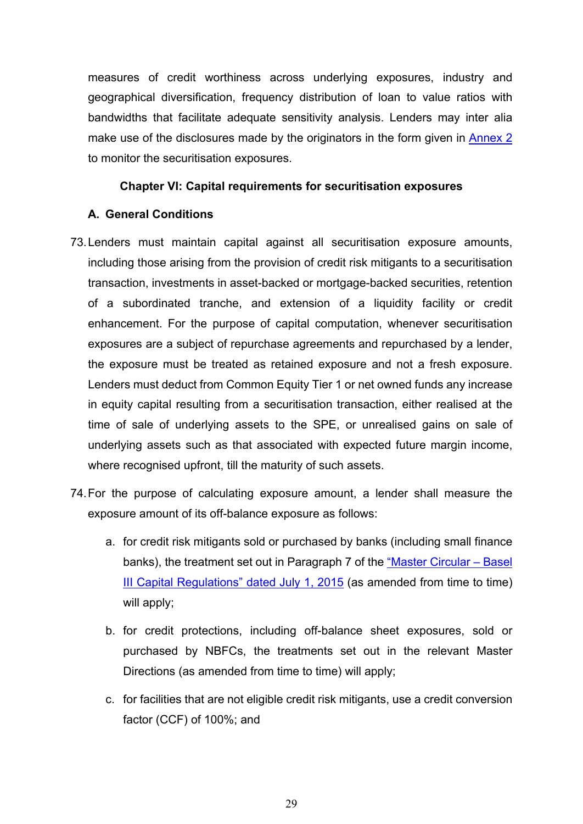measures of credit worthiness across underlying exposures, industry and geographical diversification, frequency distribution of loan to value ratios with bandwidths that facilitate adequate sensitivity analysis. Lenders may inter alia make use of the disclosures made by the originators in the form given in [Annex 2](#page-54-0) to monitor the securitisation exposures.

### **Chapter VI: Capital requirements for securitisation exposures**

### **A. General Conditions**

- 73.Lenders must maintain capital against all securitisation exposure amounts, including those arising from the provision of credit risk mitigants to a securitisation transaction, investments in asset-backed or mortgage-backed securities, retention of a subordinated tranche, and extension of a liquidity facility or credit enhancement. For the purpose of capital computation, whenever securitisation exposures are a subject of repurchase agreements and repurchased by a lender, the exposure must be treated as retained exposure and not a fresh exposure. Lenders must deduct from Common Equity Tier 1 or net owned funds any increase in equity capital resulting from a securitisation transaction, either realised at the time of sale of underlying assets to the SPE, or unrealised gains on sale of underlying assets such as that associated with expected future margin income, where recognised upfront, till the maturity of such assets.
- 74.For the purpose of calculating exposure amount, a lender shall measure the exposure amount of its off-balance exposure as follows:
	- a. for credit risk mitigants sold or purchased by banks (including small finance banks), the treatment set out in Paragraph 7 of the ["Master Circular –](https://www.rbi.org.in/Scripts/BS_ViewMasCirculardetails.aspx?id=9859) Basel [III Capital Regulations" dated July 1, 2015](https://www.rbi.org.in/Scripts/BS_ViewMasCirculardetails.aspx?id=9859) (as amended from time to time) will apply;
	- b. for credit protections, including off-balance sheet exposures, sold or purchased by NBFCs, the treatments set out in the relevant Master Directions (as amended from time to time) will apply;
	- c. for facilities that are not eligible credit risk mitigants, use a credit conversion factor (CCF) of 100%; and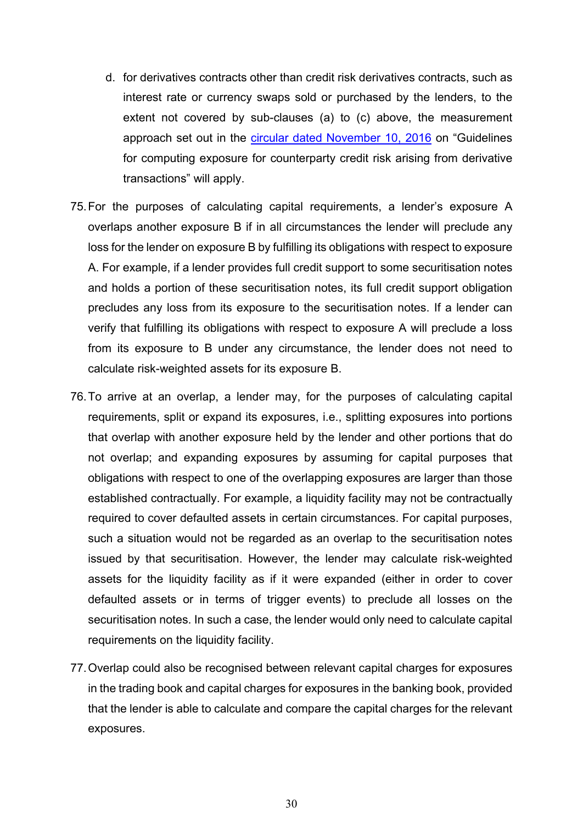- d. for derivatives contracts other than credit risk derivatives contracts, such as interest rate or currency swaps sold or purchased by the lenders, to the extent not covered by sub-clauses (a) to (c) above, the measurement approach set out in the [circular dated November 10, 2016](https://www.rbi.org.in/Scripts/NotificationUser.aspx?Id=10692&Mode=0) on "Guidelines for computing exposure for counterparty credit risk arising from derivative transactions" will apply.
- 75.For the purposes of calculating capital requirements, a lender's exposure A overlaps another exposure B if in all circumstances the lender will preclude any loss for the lender on exposure B by fulfilling its obligations with respect to exposure A. For example, if a lender provides full credit support to some securitisation notes and holds a portion of these securitisation notes, its full credit support obligation precludes any loss from its exposure to the securitisation notes. If a lender can verify that fulfilling its obligations with respect to exposure A will preclude a loss from its exposure to B under any circumstance, the lender does not need to calculate risk-weighted assets for its exposure B.
- 76.To arrive at an overlap, a lender may, for the purposes of calculating capital requirements, split or expand its exposures, i.e., splitting exposures into portions that overlap with another exposure held by the lender and other portions that do not overlap; and expanding exposures by assuming for capital purposes that obligations with respect to one of the overlapping exposures are larger than those established contractually. For example, a liquidity facility may not be contractually required to cover defaulted assets in certain circumstances. For capital purposes, such a situation would not be regarded as an overlap to the securitisation notes issued by that securitisation. However, the lender may calculate risk-weighted assets for the liquidity facility as if it were expanded (either in order to cover defaulted assets or in terms of trigger events) to preclude all losses on the securitisation notes. In such a case, the lender would only need to calculate capital requirements on the liquidity facility.
- 77.Overlap could also be recognised between relevant capital charges for exposures in the trading book and capital charges for exposures in the banking book, provided that the lender is able to calculate and compare the capital charges for the relevant exposures.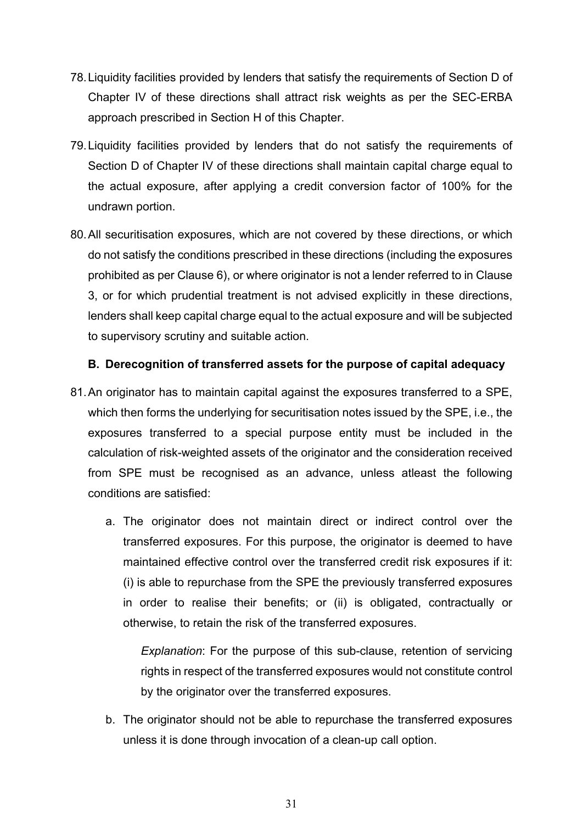- 78.Liquidity facilities provided by lenders that satisfy the requirements of Section D of Chapter IV of these directions shall attract risk weights as per the SEC-ERBA approach prescribed in Section H of this Chapter.
- 79.Liquidity facilities provided by lenders that do not satisfy the requirements of Section D of Chapter IV of these directions shall maintain capital charge equal to the actual exposure, after applying a credit conversion factor of 100% for the undrawn portion.
- 80.All securitisation exposures, which are not covered by these directions, or which do not satisfy the conditions prescribed in these directions (including the exposures prohibited as per Clause 6), or where originator is not a lender referred to in Clause 3, or for which prudential treatment is not advised explicitly in these directions, lenders shall keep capital charge equal to the actual exposure and will be subjected to supervisory scrutiny and suitable action.

## **B. Derecognition of transferred assets for the purpose of capital adequacy**

- 81.An originator has to maintain capital against the exposures transferred to a SPE, which then forms the underlying for securitisation notes issued by the SPE, i.e., the exposures transferred to a special purpose entity must be included in the calculation of risk-weighted assets of the originator and the consideration received from SPE must be recognised as an advance, unless atleast the following conditions are satisfied:
	- a. The originator does not maintain direct or indirect control over the transferred exposures. For this purpose, the originator is deemed to have maintained effective control over the transferred credit risk exposures if it: (i) is able to repurchase from the SPE the previously transferred exposures in order to realise their benefits; or (ii) is obligated, contractually or otherwise, to retain the risk of the transferred exposures.

*Explanation*: For the purpose of this sub-clause, retention of servicing rights in respect of the transferred exposures would not constitute control by the originator over the transferred exposures.

b. The originator should not be able to repurchase the transferred exposures unless it is done through invocation of a clean-up call option.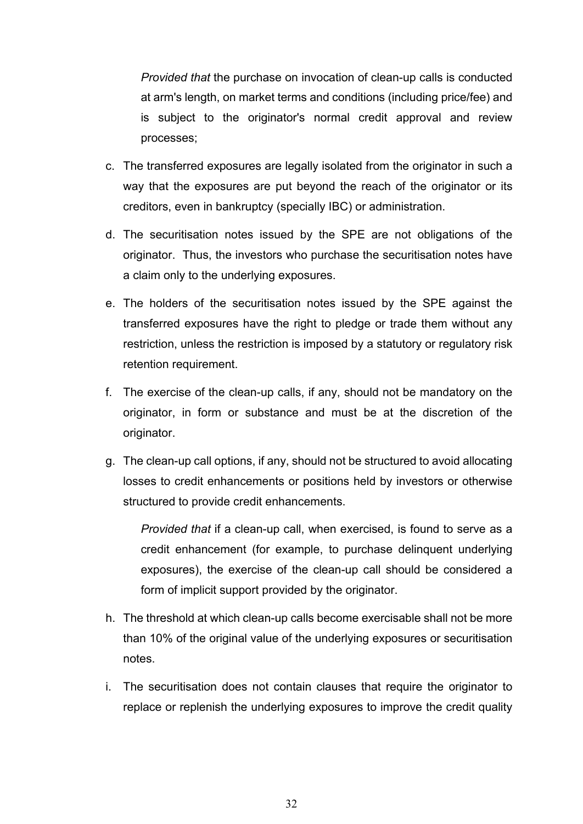*Provided that* the purchase on invocation of clean-up calls is conducted at arm's length, on market terms and conditions (including price/fee) and is subject to the originator's normal credit approval and review processes;

- c. The transferred exposures are legally isolated from the originator in such a way that the exposures are put beyond the reach of the originator or its creditors, even in bankruptcy (specially IBC) or administration.
- d. The securitisation notes issued by the SPE are not obligations of the originator. Thus, the investors who purchase the securitisation notes have a claim only to the underlying exposures.
- e. The holders of the securitisation notes issued by the SPE against the transferred exposures have the right to pledge or trade them without any restriction, unless the restriction is imposed by a statutory or regulatory risk retention requirement.
- f. The exercise of the clean-up calls, if any, should not be mandatory on the originator, in form or substance and must be at the discretion of the originator.
- g. The clean-up call options, if any, should not be structured to avoid allocating losses to credit enhancements or positions held by investors or otherwise structured to provide credit enhancements.

*Provided that* if a clean-up call, when exercised, is found to serve as a credit enhancement (for example, to purchase delinquent underlying exposures), the exercise of the clean-up call should be considered a form of implicit support provided by the originator.

- h. The threshold at which clean-up calls become exercisable shall not be more than 10% of the original value of the underlying exposures or securitisation notes.
- i. The securitisation does not contain clauses that require the originator to replace or replenish the underlying exposures to improve the credit quality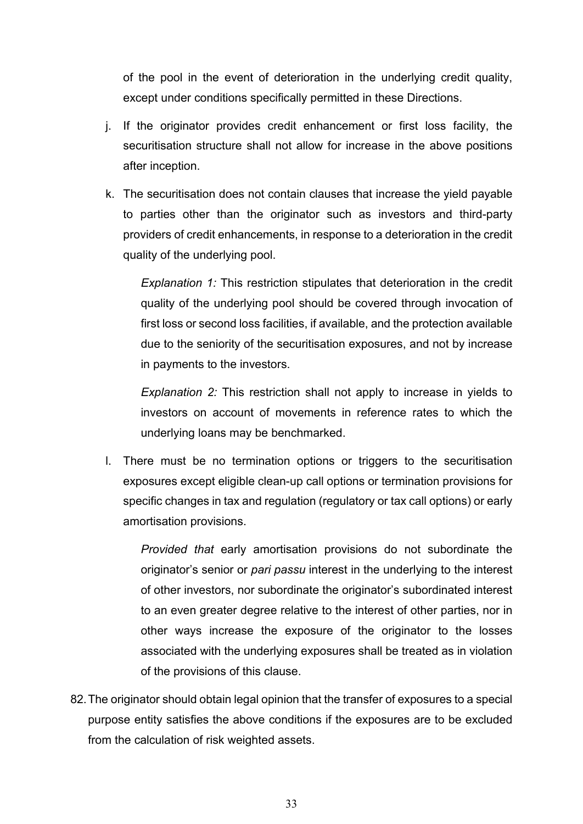of the pool in the event of deterioration in the underlying credit quality, except under conditions specifically permitted in these Directions.

- j. If the originator provides credit enhancement or first loss facility, the securitisation structure shall not allow for increase in the above positions after inception.
- k. The securitisation does not contain clauses that increase the yield payable to parties other than the originator such as investors and third-party providers of credit enhancements, in response to a deterioration in the credit quality of the underlying pool.

*Explanation 1:* This restriction stipulates that deterioration in the credit quality of the underlying pool should be covered through invocation of first loss or second loss facilities, if available, and the protection available due to the seniority of the securitisation exposures, and not by increase in payments to the investors.

*Explanation 2:* This restriction shall not apply to increase in yields to investors on account of movements in reference rates to which the underlying loans may be benchmarked.

l. There must be no termination options or triggers to the securitisation exposures except eligible clean-up call options or termination provisions for specific changes in tax and regulation (regulatory or tax call options) or early amortisation provisions.

*Provided that* early amortisation provisions do not subordinate the originator's senior or *pari passu* interest in the underlying to the interest of other investors, nor subordinate the originator's subordinated interest to an even greater degree relative to the interest of other parties, nor in other ways increase the exposure of the originator to the losses associated with the underlying exposures shall be treated as in violation of the provisions of this clause.

82.The originator should obtain legal opinion that the transfer of exposures to a special purpose entity satisfies the above conditions if the exposures are to be excluded from the calculation of risk weighted assets.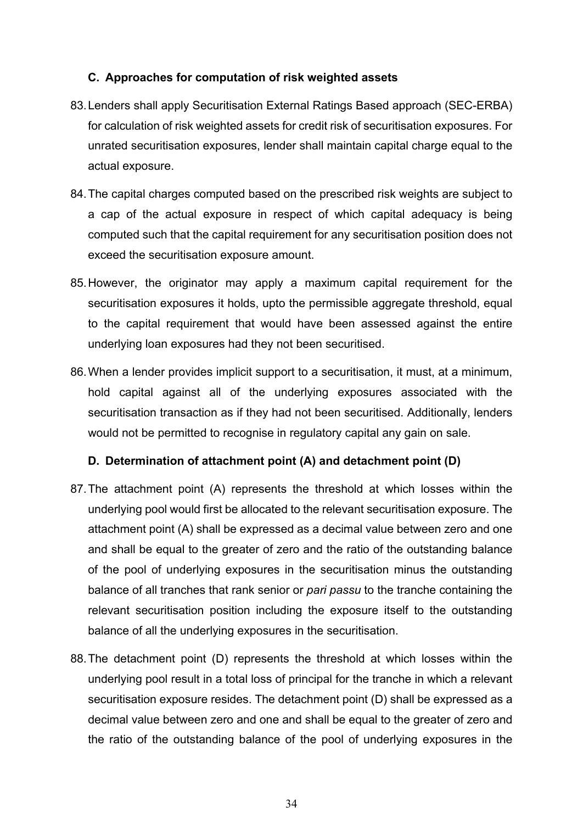### **C. Approaches for computation of risk weighted assets**

- 83.Lenders shall apply Securitisation External Ratings Based approach (SEC-ERBA) for calculation of risk weighted assets for credit risk of securitisation exposures. For unrated securitisation exposures, lender shall maintain capital charge equal to the actual exposure.
- 84.The capital charges computed based on the prescribed risk weights are subject to a cap of the actual exposure in respect of which capital adequacy is being computed such that the capital requirement for any securitisation position does not exceed the securitisation exposure amount.
- 85.However, the originator may apply a maximum capital requirement for the securitisation exposures it holds, upto the permissible aggregate threshold, equal to the capital requirement that would have been assessed against the entire underlying loan exposures had they not been securitised.
- 86.When a lender provides implicit support to a securitisation, it must, at a minimum, hold capital against all of the underlying exposures associated with the securitisation transaction as if they had not been securitised. Additionally, lenders would not be permitted to recognise in regulatory capital any gain on sale.

# **D. Determination of attachment point (A) and detachment point (D)**

- 87.The attachment point (A) represents the threshold at which losses within the underlying pool would first be allocated to the relevant securitisation exposure. The attachment point (A) shall be expressed as a decimal value between zero and one and shall be equal to the greater of zero and the ratio of the outstanding balance of the pool of underlying exposures in the securitisation minus the outstanding balance of all tranches that rank senior or *pari passu* to the tranche containing the relevant securitisation position including the exposure itself to the outstanding balance of all the underlying exposures in the securitisation.
- 88.The detachment point (D) represents the threshold at which losses within the underlying pool result in a total loss of principal for the tranche in which a relevant securitisation exposure resides. The detachment point (D) shall be expressed as a decimal value between zero and one and shall be equal to the greater of zero and the ratio of the outstanding balance of the pool of underlying exposures in the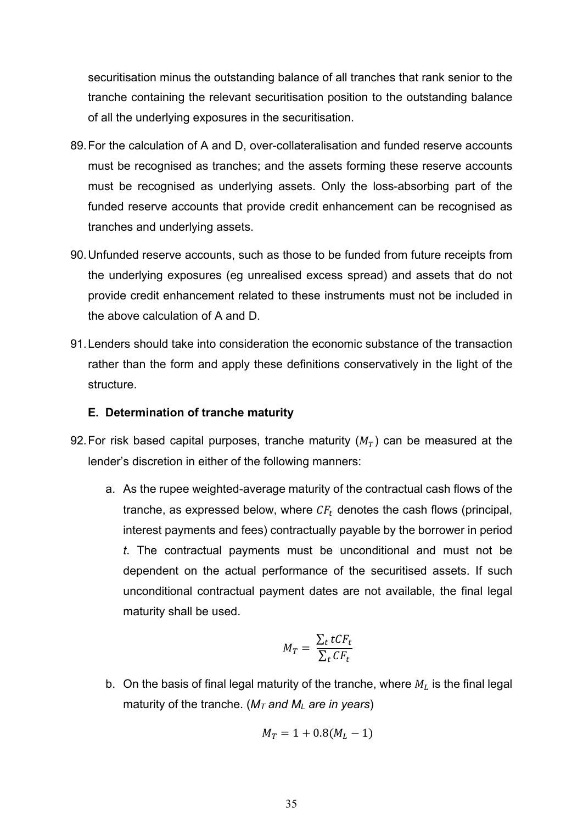securitisation minus the outstanding balance of all tranches that rank senior to the tranche containing the relevant securitisation position to the outstanding balance of all the underlying exposures in the securitisation.

- 89.For the calculation of A and D, over-collateralisation and funded reserve accounts must be recognised as tranches; and the assets forming these reserve accounts must be recognised as underlying assets. Only the loss-absorbing part of the funded reserve accounts that provide credit enhancement can be recognised as tranches and underlying assets.
- 90.Unfunded reserve accounts, such as those to be funded from future receipts from the underlying exposures (eg unrealised excess spread) and assets that do not provide credit enhancement related to these instruments must not be included in the above calculation of A and D.
- 91.Lenders should take into consideration the economic substance of the transaction rather than the form and apply these definitions conservatively in the light of the structure.

### **E. Determination of tranche maturity**

- 92. For risk based capital purposes, tranche maturity  $(M_T)$  can be measured at the lender's discretion in either of the following manners:
	- a. As the rupee weighted-average maturity of the contractual cash flows of the tranche, as expressed below, where  $CF<sub>t</sub>$  denotes the cash flows (principal, interest payments and fees) contractually payable by the borrower in period *t*. The contractual payments must be unconditional and must not be dependent on the actual performance of the securitised assets. If such unconditional contractual payment dates are not available, the final legal maturity shall be used.

$$
M_T = \frac{\sum_t tCF_t}{\sum_t CF_t}
$$

b. On the basis of final legal maturity of the tranche, where  $M_L$  is the final legal maturity of the tranche. (*MT and ML are in years*)

$$
M_T = 1 + 0.8(M_L - 1)
$$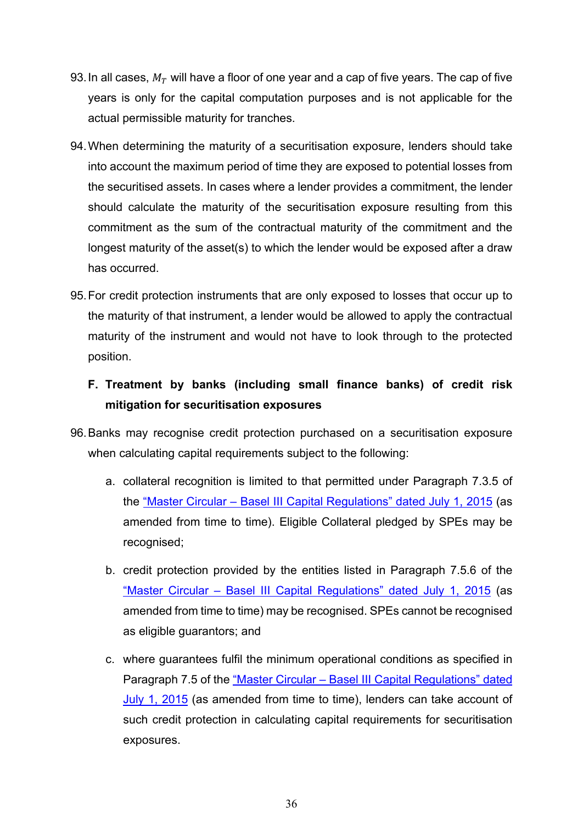- 93. In all cases,  $M_T$  will have a floor of one year and a cap of five years. The cap of five years is only for the capital computation purposes and is not applicable for the actual permissible maturity for tranches.
- 94.When determining the maturity of a securitisation exposure, lenders should take into account the maximum period of time they are exposed to potential losses from the securitised assets. In cases where a lender provides a commitment, the lender should calculate the maturity of the securitisation exposure resulting from this commitment as the sum of the contractual maturity of the commitment and the longest maturity of the asset(s) to which the lender would be exposed after a draw has occurred.
- 95.For credit protection instruments that are only exposed to losses that occur up to the maturity of that instrument, a lender would be allowed to apply the contractual maturity of the instrument and would not have to look through to the protected position.

# **F. Treatment by banks (including small finance banks) of credit risk mitigation for securitisation exposures**

- 96.Banks may recognise credit protection purchased on a securitisation exposure when calculating capital requirements subject to the following:
	- a. collateral recognition is limited to that permitted under Paragraph 7.3.5 of the "Master Circular – [Basel III Capital Regulations" dated July 1, 2015](https://www.rbi.org.in/Scripts/BS_ViewMasCirculardetails.aspx?id=9859) (as amended from time to time). Eligible Collateral pledged by SPEs may be recognised;
	- b. credit protection provided by the entities listed in Paragraph 7.5.6 of the "Master Circular – [Basel III Capital Regulations" dated July 1, 2015](https://www.rbi.org.in/Scripts/BS_ViewMasCirculardetails.aspx?id=9859) (as amended from time to time) may be recognised. SPEs cannot be recognised as eligible guarantors; and
	- c. where guarantees fulfil the minimum operational conditions as specified in Paragraph 7.5 of the "Master Circular – [Basel III Capital Regulations" dated](https://www.rbi.org.in/Scripts/BS_ViewMasCirculardetails.aspx?id=9859)  [July 1, 2015](https://www.rbi.org.in/Scripts/BS_ViewMasCirculardetails.aspx?id=9859) (as amended from time to time), lenders can take account of such credit protection in calculating capital requirements for securitisation exposures.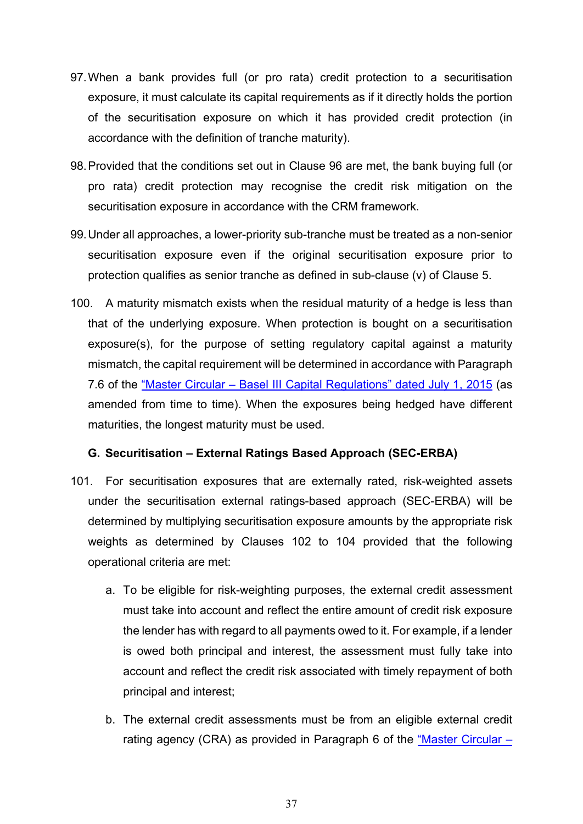- 97.When a bank provides full (or pro rata) credit protection to a securitisation exposure, it must calculate its capital requirements as if it directly holds the portion of the securitisation exposure on which it has provided credit protection (in accordance with the definition of tranche maturity).
- 98.Provided that the conditions set out in Clause 96 are met, the bank buying full (or pro rata) credit protection may recognise the credit risk mitigation on the securitisation exposure in accordance with the CRM framework.
- 99.Under all approaches, a lower-priority sub-tranche must be treated as a non-senior securitisation exposure even if the original securitisation exposure prior to protection qualifies as senior tranche as defined in sub-clause (v) of Clause 5.
- 100. A maturity mismatch exists when the residual maturity of a hedge is less than that of the underlying exposure. When protection is bought on a securitisation exposure(s), for the purpose of setting regulatory capital against a maturity mismatch, the capital requirement will be determined in accordance with Paragraph 7.6 of the "Master Circular – [Basel III Capital Regulations" dated July 1, 2015](https://www.rbi.org.in/Scripts/BS_ViewMasCirculardetails.aspx?id=9859) (as amended from time to time). When the exposures being hedged have different maturities, the longest maturity must be used.

### **G. Securitisation – External Ratings Based Approach (SEC-ERBA)**

- 101. For securitisation exposures that are externally rated, risk-weighted assets under the securitisation external ratings-based approach (SEC-ERBA) will be determined by multiplying securitisation exposure amounts by the appropriate risk weights as determined by Clauses 102 to 104 provided that the following operational criteria are met:
	- a. To be eligible for risk-weighting purposes, the external credit assessment must take into account and reflect the entire amount of credit risk exposure the lender has with regard to all payments owed to it. For example, if a lender is owed both principal and interest, the assessment must fully take into account and reflect the credit risk associated with timely repayment of both principal and interest;
	- b. The external credit assessments must be from an eligible external credit rating agency (CRA) as provided in Paragraph 6 of the "Master Circular  $-$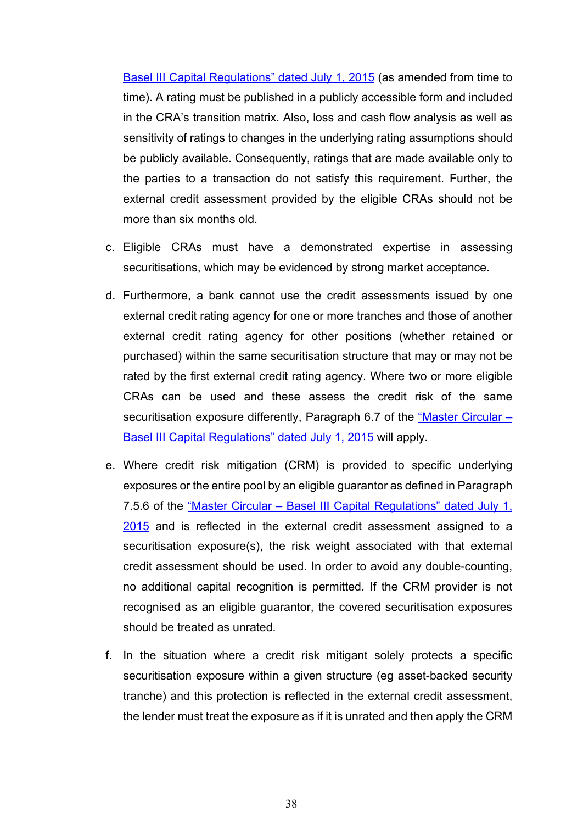[Basel III Capital Regulations" dated July 1, 2015](https://www.rbi.org.in/Scripts/BS_ViewMasCirculardetails.aspx?id=9859) (as amended from time to time). A rating must be published in a publicly accessible form and included in the CRA's transition matrix. Also, loss and cash flow analysis as well as sensitivity of ratings to changes in the underlying rating assumptions should be publicly available. Consequently, ratings that are made available only to the parties to a transaction do not satisfy this requirement. Further, the external credit assessment provided by the eligible CRAs should not be more than six months old.

- c. Eligible CRAs must have a demonstrated expertise in assessing securitisations, which may be evidenced by strong market acceptance.
- d. Furthermore, a bank cannot use the credit assessments issued by one external credit rating agency for one or more tranches and those of another external credit rating agency for other positions (whether retained or purchased) within the same securitisation structure that may or may not be rated by the first external credit rating agency. Where two or more eligible CRAs can be used and these assess the credit risk of the same securitisation exposure differently, Paragraph 6.7 of the ["Master Circular –](https://www.rbi.org.in/Scripts/BS_ViewMasCirculardetails.aspx?id=9859) [Basel III Capital Regulations" dated July 1, 2015](https://www.rbi.org.in/Scripts/BS_ViewMasCirculardetails.aspx?id=9859) will apply.
- e. Where credit risk mitigation (CRM) is provided to specific underlying exposures or the entire pool by an eligible guarantor as defined in Paragraph 7.5.6 of the "Master Circular – [Basel III Capital Regulations" dated July 1,](https://www.rbi.org.in/Scripts/BS_ViewMasCirculardetails.aspx?id=9859)  [2015](https://www.rbi.org.in/Scripts/BS_ViewMasCirculardetails.aspx?id=9859) and is reflected in the external credit assessment assigned to a securitisation exposure(s), the risk weight associated with that external credit assessment should be used. In order to avoid any double-counting, no additional capital recognition is permitted. If the CRM provider is not recognised as an eligible guarantor, the covered securitisation exposures should be treated as unrated.
- f. In the situation where a credit risk mitigant solely protects a specific securitisation exposure within a given structure (eg asset-backed security tranche) and this protection is reflected in the external credit assessment, the lender must treat the exposure as if it is unrated and then apply the CRM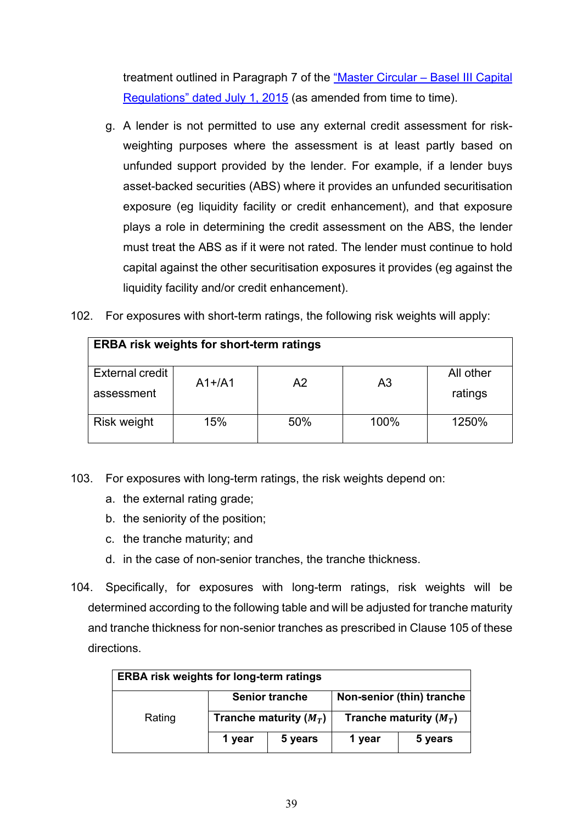treatment outlined in Paragraph 7 of the ["Master Circular –](https://www.rbi.org.in/Scripts/BS_ViewMasCirculardetails.aspx?id=9859) Basel III Capital [Regulations" dated July 1, 2015](https://www.rbi.org.in/Scripts/BS_ViewMasCirculardetails.aspx?id=9859) (as amended from time to time).

- g. A lender is not permitted to use any external credit assessment for riskweighting purposes where the assessment is at least partly based on unfunded support provided by the lender. For example, if a lender buys asset-backed securities (ABS) where it provides an unfunded securitisation exposure (eg liquidity facility or credit enhancement), and that exposure plays a role in determining the credit assessment on the ABS, the lender must treat the ABS as if it were not rated. The lender must continue to hold capital against the other securitisation exposures it provides (eg against the liquidity facility and/or credit enhancement).
- 102. For exposures with short-term ratings, the following risk weights will apply:

| <b>ERBA risk weights for short-term ratings</b> |          |     |                |                      |
|-------------------------------------------------|----------|-----|----------------|----------------------|
| External credit<br>assessment                   | $A1+/A1$ | A2  | A <sub>3</sub> | All other<br>ratings |
| <b>Risk weight</b>                              | 15%      | 50% | 100%           | 1250%                |

- 103. For exposures with long-term ratings, the risk weights depend on:
	- a. the external rating grade;
	- b. the seniority of the position;
	- c. the tranche maturity; and
	- d. in the case of non-senior tranches, the tranche thickness.
- 104. Specifically, for exposures with long-term ratings, risk weights will be determined according to the following table and will be adjusted for tranche maturity and tranche thickness for non-senior tranches as prescribed in Clause 105 of these directions.

| <b>ERBA risk weights for long-term ratings</b> |        |                          |        |                           |  |
|------------------------------------------------|--------|--------------------------|--------|---------------------------|--|
|                                                |        | <b>Senior tranche</b>    |        | Non-senior (thin) tranche |  |
| Rating                                         |        | Tranche maturity $(M_T)$ |        | Tranche maturity $(M_T)$  |  |
|                                                | 1 year | 5 years                  | 1 year | 5 years                   |  |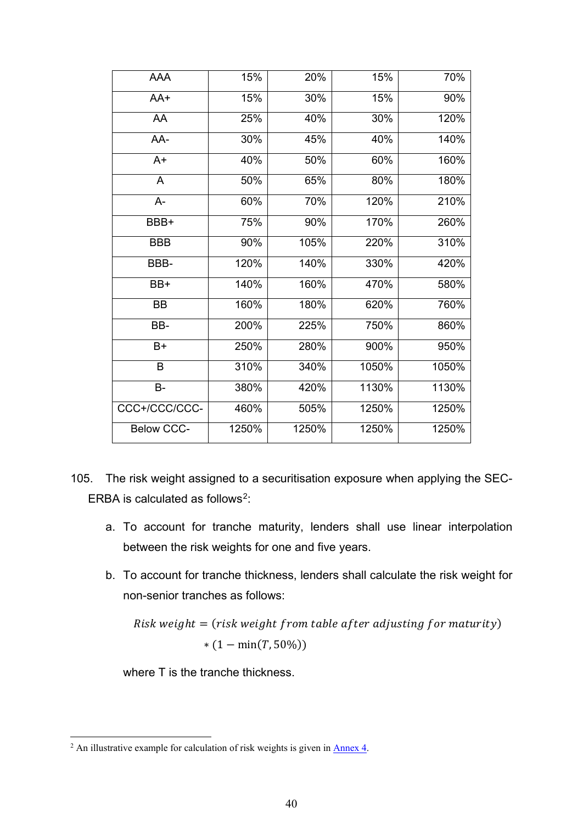| AAA               | 15%   | 20%   | 15%   | 70%   |
|-------------------|-------|-------|-------|-------|
| AA+               | 15%   | 30%   | 15%   | 90%   |
| AA                | 25%   | 40%   | 30%   | 120%  |
| AA-               | 30%   | 45%   | 40%   | 140%  |
| $A+$              | 40%   | 50%   | 60%   | 160%  |
| A                 | 50%   | 65%   | 80%   | 180%  |
| A-                | 60%   | 70%   | 120%  | 210%  |
| BBB+              | 75%   | 90%   | 170%  | 260%  |
| <b>BBB</b>        | 90%   | 105%  | 220%  | 310%  |
| BBB-              | 120%  | 140%  | 330%  | 420%  |
| BB+               | 140%  | 160%  | 470%  | 580%  |
| <b>BB</b>         | 160%  | 180%  | 620%  | 760%  |
| BB-               | 200%  | 225%  | 750%  | 860%  |
| $B+$              | 250%  | 280%  | 900%  | 950%  |
| B                 | 310%  | 340%  | 1050% | 1050% |
| <b>B-</b>         | 380%  | 420%  | 1130% | 1130% |
| CCC+/CCC/CCC-     | 460%  | 505%  | 1250% | 1250% |
| <b>Below CCC-</b> | 1250% | 1250% | 1250% | 1250% |
|                   |       |       |       |       |

- 105. The risk weight assigned to a securitisation exposure when applying the SEC-ERBA is calculated as follows<sup>[2](#page-39-0)</sup>:
	- a. To account for tranche maturity, lenders shall use linear interpolation between the risk weights for one and five years.
	- b. To account for tranche thickness, lenders shall calculate the risk weight for non-senior tranches as follows:

 $Risk weight = (risk weight from table after adjusting for maturity)$  $*(1 - \min(T, 50\%))$ 

where T is the tranche thickness.

<span id="page-39-0"></span><sup>&</sup>lt;sup>2</sup> An illustrative example for calculation of risk weights is given in <u>Annex 4</u>.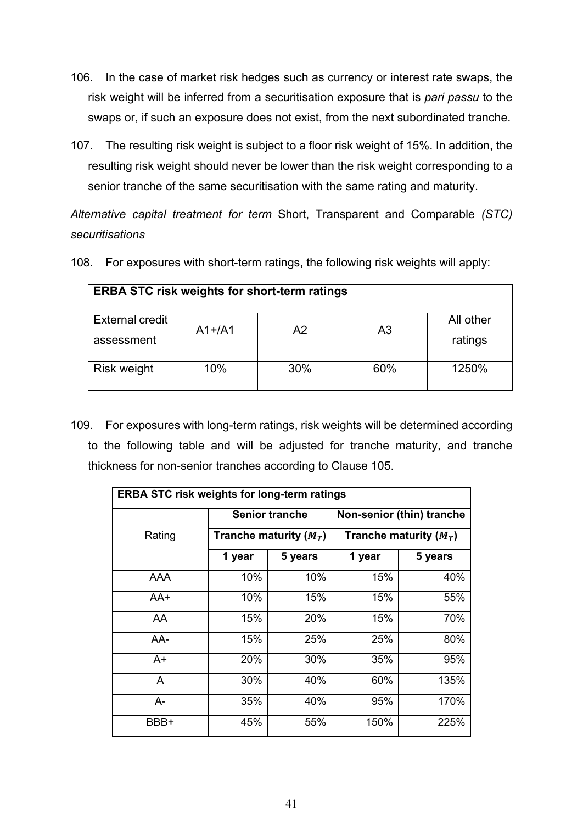- 106. In the case of market risk hedges such as currency or interest rate swaps, the risk weight will be inferred from a securitisation exposure that is *pari passu* to the swaps or, if such an exposure does not exist, from the next subordinated tranche.
- 107. The resulting risk weight is subject to a floor risk weight of 15%. In addition, the resulting risk weight should never be lower than the risk weight corresponding to a senior tranche of the same securitisation with the same rating and maturity.

*Alternative capital treatment for term* Short, Transparent and Comparable *(STC) securitisations*

108. For exposures with short-term ratings, the following risk weights will apply:

| <b>ERBA STC risk weights for short-term ratings</b> |          |    |    |                      |
|-----------------------------------------------------|----------|----|----|----------------------|
| External credit<br>assessment                       | $A1+/A1$ | A2 | A3 | All other<br>ratings |
| <b>Risk weight</b>                                  | 1250%    |    |    |                      |

109. For exposures with long-term ratings, risk weights will be determined according to the following table and will be adjusted for tranche maturity, and tranche thickness for non-senior tranches according to Clause 105.

| <b>ERBA STC risk weights for long-term ratings</b> |            |                          |                           |                          |  |  |
|----------------------------------------------------|------------|--------------------------|---------------------------|--------------------------|--|--|
|                                                    |            | <b>Senior tranche</b>    | Non-senior (thin) tranche |                          |  |  |
| Rating                                             |            | Tranche maturity $(M_T)$ |                           | Tranche maturity $(M_T)$ |  |  |
|                                                    | 1 year     | 5 years                  | 1 year                    | 5 years                  |  |  |
| AAA                                                | 10%        | 10%                      | 15%                       | 40%                      |  |  |
| AA+                                                | 10%        | 15%                      | 15%                       | 55%                      |  |  |
| AA                                                 | 15%        | 20%                      | 15%                       | 70%                      |  |  |
| AA-                                                | 15%        | 25%                      | 25%                       | 80%                      |  |  |
| A+                                                 | <b>20%</b> | 30%                      | 35%                       | 95%                      |  |  |
| A                                                  | 30%        | 40%                      | 60%                       | 135%                     |  |  |
| A-                                                 | 35%        | 40%                      | 95%                       | 170%                     |  |  |
| BBB+                                               | 45%        | 55%                      | 150%                      | 225%                     |  |  |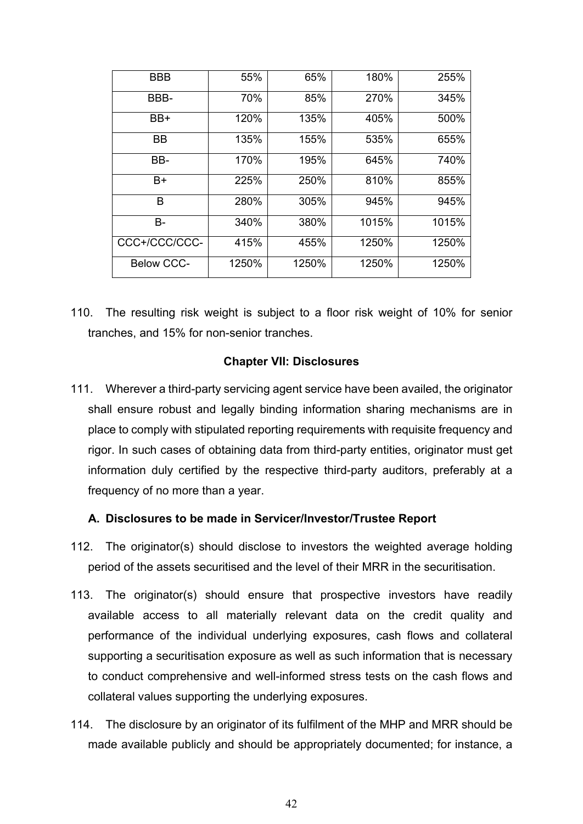| <b>BBB</b>        | 55%   | 65%   | 180%  | 255%  |
|-------------------|-------|-------|-------|-------|
| BBB-              | 70%   | 85%   | 270%  | 345%  |
| BB+               | 120%  | 135%  | 405%  | 500%  |
| BВ                | 135%  | 155%  | 535%  | 655%  |
| BB-               | 170%  | 195%  | 645%  | 740%  |
| B+                | 225%  | 250%  | 810%  | 855%  |
| в                 | 280%  | 305%  | 945%  | 945%  |
| B-                | 340%  | 380%  | 1015% | 1015% |
| CCC+/CCC/CCC-     | 415%  | 455%  | 1250% | 1250% |
| <b>Below CCC-</b> | 1250% | 1250% | 1250% | 1250% |

110. The resulting risk weight is subject to a floor risk weight of 10% for senior tranches, and 15% for non-senior tranches.

### **Chapter VII: Disclosures**

111. Wherever a third-party servicing agent service have been availed, the originator shall ensure robust and legally binding information sharing mechanisms are in place to comply with stipulated reporting requirements with requisite frequency and rigor. In such cases of obtaining data from third-party entities, originator must get information duly certified by the respective third-party auditors, preferably at a frequency of no more than a year.

### **A. Disclosures to be made in Servicer/Investor/Trustee Report**

- 112. The originator(s) should disclose to investors the weighted average holding period of the assets securitised and the level of their MRR in the securitisation.
- 113. The originator(s) should ensure that prospective investors have readily available access to all materially relevant data on the credit quality and performance of the individual underlying exposures, cash flows and collateral supporting a securitisation exposure as well as such information that is necessary to conduct comprehensive and well-informed stress tests on the cash flows and collateral values supporting the underlying exposures.
- 114. The disclosure by an originator of its fulfilment of the MHP and MRR should be made available publicly and should be appropriately documented; for instance, a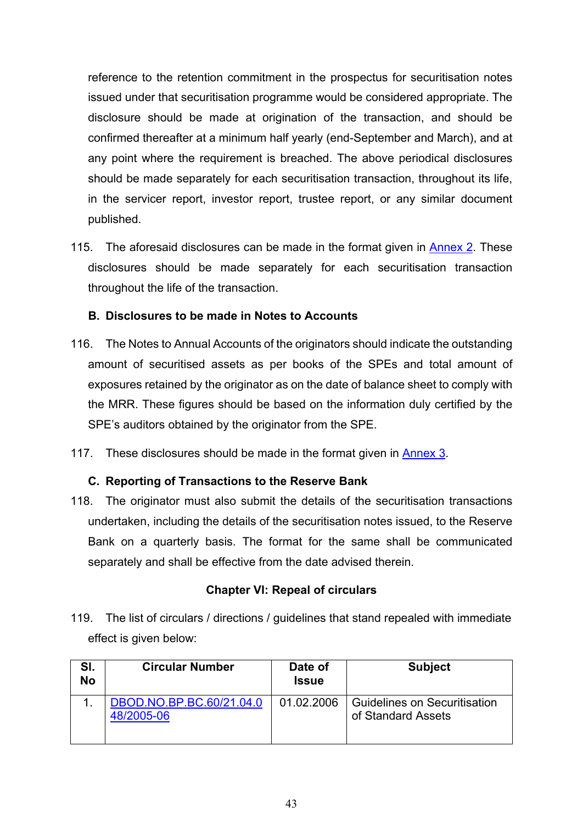reference to the retention commitment in the prospectus for securitisation notes issued under that securitisation programme would be considered appropriate. The disclosure should be made at origination of the transaction, and should be confirmed thereafter at a minimum half yearly (end-September and March), and at any point where the requirement is breached. The above periodical disclosures should be made separately for each securitisation transaction, throughout its life, in the servicer report, investor report, trustee report, or any similar document published.

115. The aforesaid disclosures can be made in the format given in [Annex 2.](#page-54-0) These disclosures should be made separately for each securitisation transaction throughout the life of the transaction.

## **B. Disclosures to be made in Notes to Accounts**

- 116. The Notes to Annual Accounts of the originators should indicate the outstanding amount of securitised assets as per books of the SPEs and total amount of exposures retained by the originator as on the date of balance sheet to comply with the MRR. These figures should be based on the information duly certified by the SPE's auditors obtained by the originator from the SPE.
- 117. These disclosures should be made in the format given in [Annex 3.](#page-58-0)

# **C. Reporting of Transactions to the Reserve Bank**

118. The originator must also submit the details of the securitisation transactions undertaken, including the details of the securitisation notes issued, to the Reserve Bank on a quarterly basis. The format for the same shall be communicated separately and shall be effective from the date advised therein.

### **Chapter VI: Repeal of circulars**

119. The list of circulars / directions / guidelines that stand repealed with immediate effect is given below:

| SI.<br><b>No</b> | <b>Circular Number</b>                 | Date of<br><b>Issue</b> | <b>Subject</b>                                            |
|------------------|----------------------------------------|-------------------------|-----------------------------------------------------------|
|                  | DBOD.NO.BP.BC.60/21.04.0<br>48/2005-06 | 01.02.2006              | <b>Guidelines on Securitisation</b><br>of Standard Assets |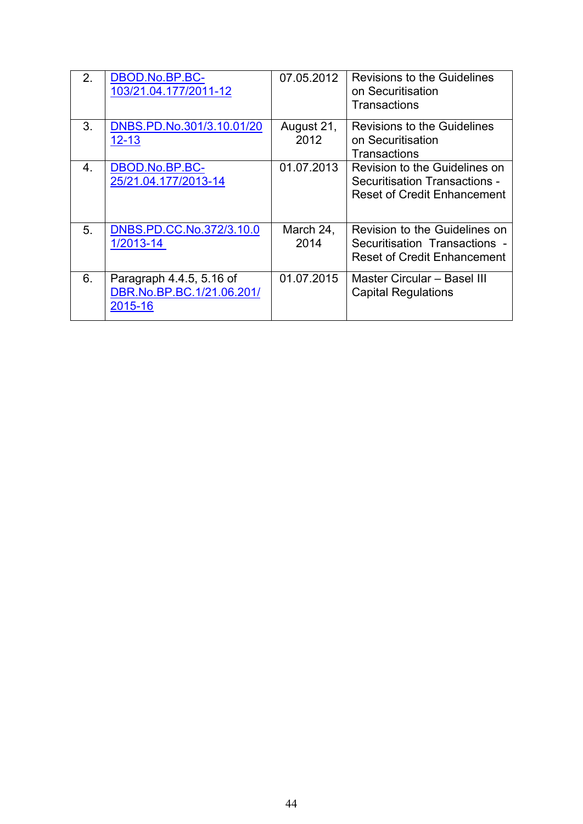| 2. | DBOD.No.BP.BC-<br>103/21.04.177/2011-12                          | 07.05.2012         | Revisions to the Guidelines<br>on Securitisation<br>Transactions                                     |
|----|------------------------------------------------------------------|--------------------|------------------------------------------------------------------------------------------------------|
| 3. | DNBS.PD.No.301/3.10.01/20<br>$12 - 13$                           | August 21,<br>2012 | <b>Revisions to the Guidelines</b><br>on Securitisation<br>Transactions                              |
| 4. | DBOD.No.BP.BC-<br>25/21.04.177/2013-14                           | 01.07.2013         | Revision to the Guidelines on<br>Securitisation Transactions -<br><b>Reset of Credit Enhancement</b> |
| 5. | DNBS.PD.CC.No.372/3.10.0<br>1/2013-14                            | March 24,<br>2014  | Revision to the Guidelines on<br>Securitisation Transactions -<br><b>Reset of Credit Enhancement</b> |
| 6. | Paragraph 4.4.5, 5.16 of<br>DBR.No.BP.BC.1/21.06.201/<br>2015-16 | 01.07.2015         | Master Circular - Basel III<br><b>Capital Regulations</b>                                            |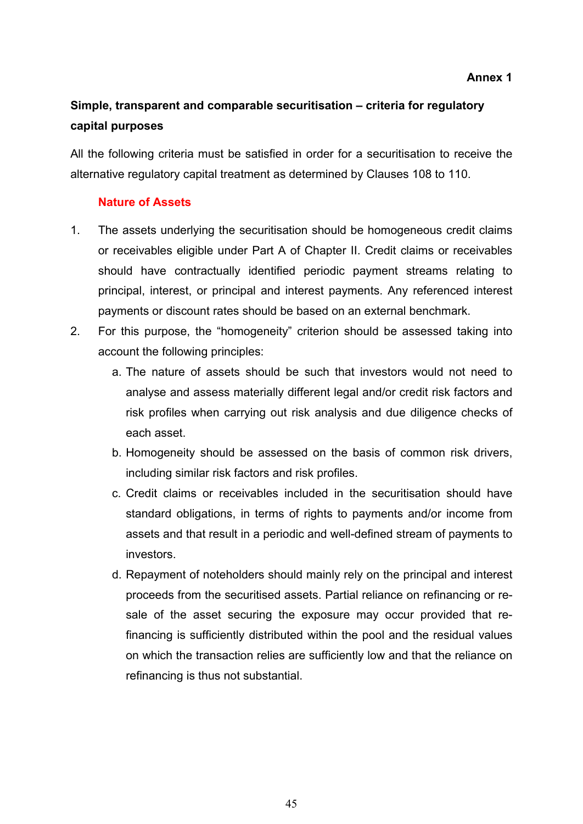### **Annex 1**

# <span id="page-44-0"></span>**Simple, transparent and comparable securitisation – criteria for regulatory capital purposes**

All the following criteria must be satisfied in order for a securitisation to receive the alternative regulatory capital treatment as determined by Clauses 108 to 110.

### **Nature of Assets**

- 1. The assets underlying the securitisation should be homogeneous credit claims or receivables eligible under Part A of Chapter II. Credit claims or receivables should have contractually identified periodic payment streams relating to principal, interest, or principal and interest payments. Any referenced interest payments or discount rates should be based on an external benchmark.
- 2. For this purpose, the "homogeneity" criterion should be assessed taking into account the following principles:
	- a. The nature of assets should be such that investors would not need to analyse and assess materially different legal and/or credit risk factors and risk profiles when carrying out risk analysis and due diligence checks of each asset.
	- b. Homogeneity should be assessed on the basis of common risk drivers, including similar risk factors and risk profiles.
	- c. Credit claims or receivables included in the securitisation should have standard obligations, in terms of rights to payments and/or income from assets and that result in a periodic and well-defined stream of payments to investors.
	- d. Repayment of noteholders should mainly rely on the principal and interest proceeds from the securitised assets. Partial reliance on refinancing or resale of the asset securing the exposure may occur provided that refinancing is sufficiently distributed within the pool and the residual values on which the transaction relies are sufficiently low and that the reliance on refinancing is thus not substantial.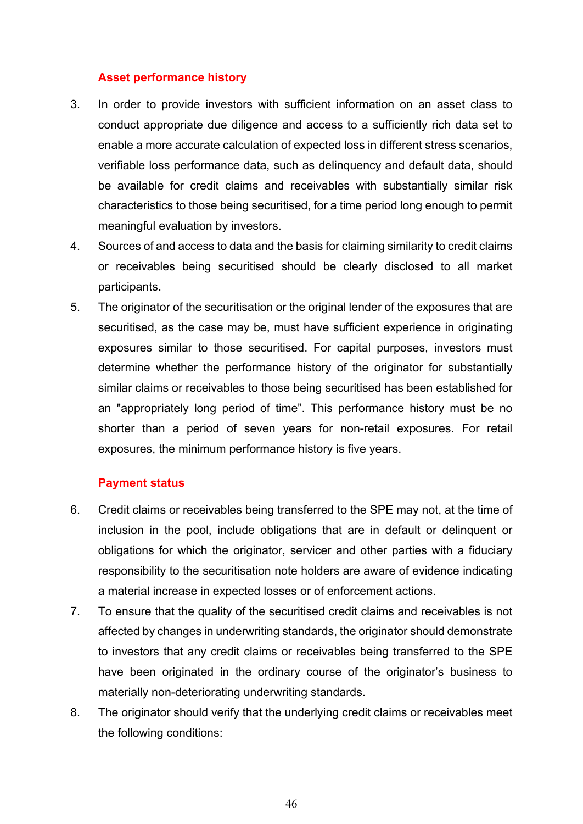## **Asset performance history**

- 3. In order to provide investors with sufficient information on an asset class to conduct appropriate due diligence and access to a sufficiently rich data set to enable a more accurate calculation of expected loss in different stress scenarios, verifiable loss performance data, such as delinquency and default data, should be available for credit claims and receivables with substantially similar risk characteristics to those being securitised, for a time period long enough to permit meaningful evaluation by investors.
- 4. Sources of and access to data and the basis for claiming similarity to credit claims or receivables being securitised should be clearly disclosed to all market participants.
- 5. The originator of the securitisation or the original lender of the exposures that are securitised, as the case may be, must have sufficient experience in originating exposures similar to those securitised. For capital purposes, investors must determine whether the performance history of the originator for substantially similar claims or receivables to those being securitised has been established for an "appropriately long period of time". This performance history must be no shorter than a period of seven years for non-retail exposures. For retail exposures, the minimum performance history is five years.

# **Payment status**

- 6. Credit claims or receivables being transferred to the SPE may not, at the time of inclusion in the pool, include obligations that are in default or delinquent or obligations for which the originator, servicer and other parties with a fiduciary responsibility to the securitisation note holders are aware of evidence indicating a material increase in expected losses or of enforcement actions.
- 7. To ensure that the quality of the securitised credit claims and receivables is not affected by changes in underwriting standards, the originator should demonstrate to investors that any credit claims or receivables being transferred to the SPE have been originated in the ordinary course of the originator's business to materially non-deteriorating underwriting standards.
- 8. The originator should verify that the underlying credit claims or receivables meet the following conditions: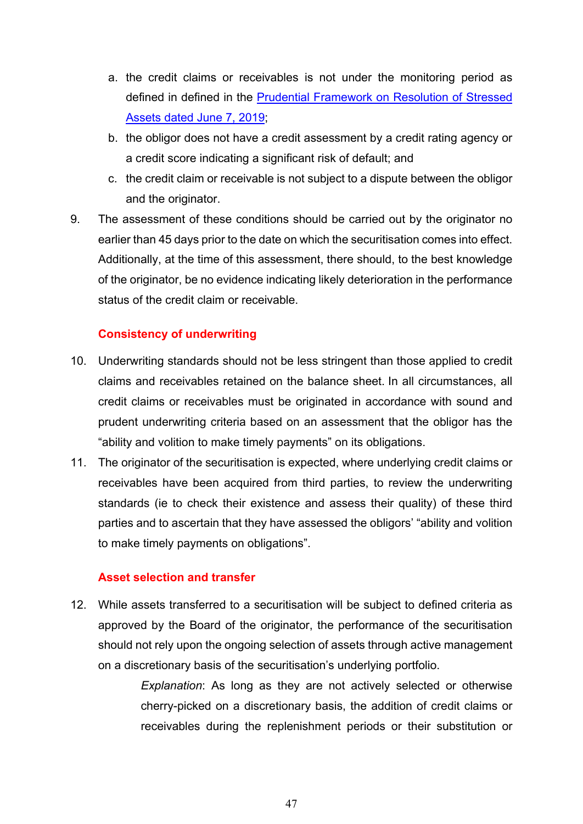- a. the credit claims or receivables is not under the monitoring period as defined in defined in the [Prudential Framework on Resolution of Stressed](https://www.rbi.org.in/Scripts/NotificationUser.aspx?Id=11580&Mode=0)  [Assets dated June 7, 2019;](https://www.rbi.org.in/Scripts/NotificationUser.aspx?Id=11580&Mode=0)
- b. the obligor does not have a credit assessment by a credit rating agency or a credit score indicating a significant risk of default; and
- c. the credit claim or receivable is not subject to a dispute between the obligor and the originator.
- 9. The assessment of these conditions should be carried out by the originator no earlier than 45 days prior to the date on which the securitisation comes into effect. Additionally, at the time of this assessment, there should, to the best knowledge of the originator, be no evidence indicating likely deterioration in the performance status of the credit claim or receivable.

# **Consistency of underwriting**

- 10. Underwriting standards should not be less stringent than those applied to credit claims and receivables retained on the balance sheet. In all circumstances, all credit claims or receivables must be originated in accordance with sound and prudent underwriting criteria based on an assessment that the obligor has the "ability and volition to make timely payments" on its obligations.
- 11. The originator of the securitisation is expected, where underlying credit claims or receivables have been acquired from third parties, to review the underwriting standards (ie to check their existence and assess their quality) of these third parties and to ascertain that they have assessed the obligors' "ability and volition to make timely payments on obligations".

# **Asset selection and transfer**

12. While assets transferred to a securitisation will be subject to defined criteria as approved by the Board of the originator, the performance of the securitisation should not rely upon the ongoing selection of assets through active management on a discretionary basis of the securitisation's underlying portfolio.

> *Explanation*: As long as they are not actively selected or otherwise cherry-picked on a discretionary basis, the addition of credit claims or receivables during the replenishment periods or their substitution or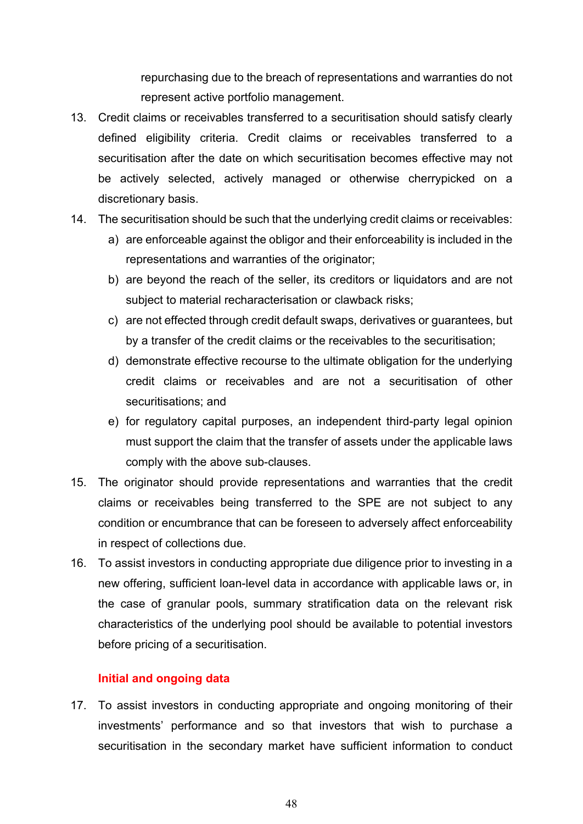repurchasing due to the breach of representations and warranties do not represent active portfolio management.

- 13. Credit claims or receivables transferred to a securitisation should satisfy clearly defined eligibility criteria. Credit claims or receivables transferred to a securitisation after the date on which securitisation becomes effective may not be actively selected, actively managed or otherwise cherrypicked on a discretionary basis.
- 14. The securitisation should be such that the underlying credit claims or receivables:
	- a) are enforceable against the obligor and their enforceability is included in the representations and warranties of the originator;
	- b) are beyond the reach of the seller, its creditors or liquidators and are not subject to material recharacterisation or clawback risks;
	- c) are not effected through credit default swaps, derivatives or guarantees, but by a transfer of the credit claims or the receivables to the securitisation;
	- d) demonstrate effective recourse to the ultimate obligation for the underlying credit claims or receivables and are not a securitisation of other securitisations; and
	- e) for regulatory capital purposes, an independent third-party legal opinion must support the claim that the transfer of assets under the applicable laws comply with the above sub-clauses.
- 15. The originator should provide representations and warranties that the credit claims or receivables being transferred to the SPE are not subject to any condition or encumbrance that can be foreseen to adversely affect enforceability in respect of collections due.
- 16. To assist investors in conducting appropriate due diligence prior to investing in a new offering, sufficient loan-level data in accordance with applicable laws or, in the case of granular pools, summary stratification data on the relevant risk characteristics of the underlying pool should be available to potential investors before pricing of a securitisation.

# **Initial and ongoing data**

17. To assist investors in conducting appropriate and ongoing monitoring of their investments' performance and so that investors that wish to purchase a securitisation in the secondary market have sufficient information to conduct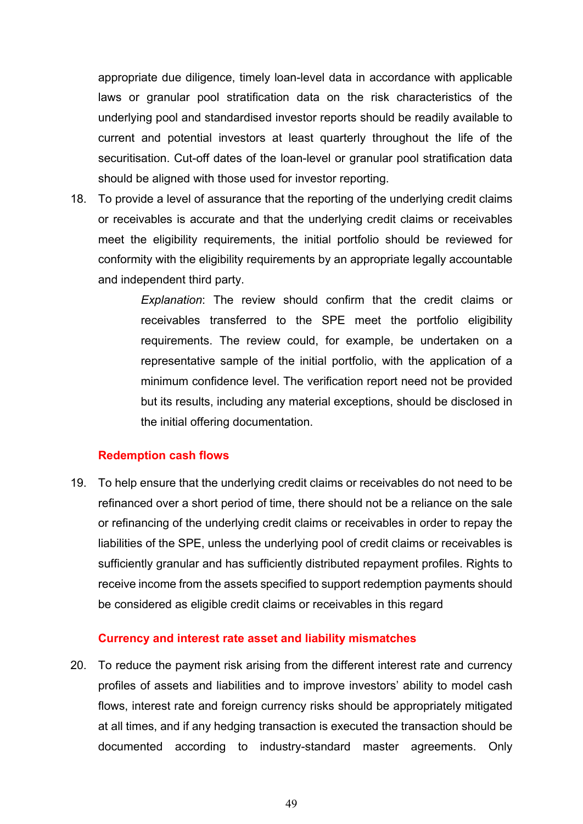appropriate due diligence, timely loan-level data in accordance with applicable laws or granular pool stratification data on the risk characteristics of the underlying pool and standardised investor reports should be readily available to current and potential investors at least quarterly throughout the life of the securitisation. Cut-off dates of the loan-level or granular pool stratification data should be aligned with those used for investor reporting.

18. To provide a level of assurance that the reporting of the underlying credit claims or receivables is accurate and that the underlying credit claims or receivables meet the eligibility requirements, the initial portfolio should be reviewed for conformity with the eligibility requirements by an appropriate legally accountable and independent third party.

> *Explanation*: The review should confirm that the credit claims or receivables transferred to the SPE meet the portfolio eligibility requirements. The review could, for example, be undertaken on a representative sample of the initial portfolio, with the application of a minimum confidence level. The verification report need not be provided but its results, including any material exceptions, should be disclosed in the initial offering documentation.

### **Redemption cash flows**

19. To help ensure that the underlying credit claims or receivables do not need to be refinanced over a short period of time, there should not be a reliance on the sale or refinancing of the underlying credit claims or receivables in order to repay the liabilities of the SPE, unless the underlying pool of credit claims or receivables is sufficiently granular and has sufficiently distributed repayment profiles. Rights to receive income from the assets specified to support redemption payments should be considered as eligible credit claims or receivables in this regard

### **Currency and interest rate asset and liability mismatches**

20. To reduce the payment risk arising from the different interest rate and currency profiles of assets and liabilities and to improve investors' ability to model cash flows, interest rate and foreign currency risks should be appropriately mitigated at all times, and if any hedging transaction is executed the transaction should be documented according to industry-standard master agreements. Only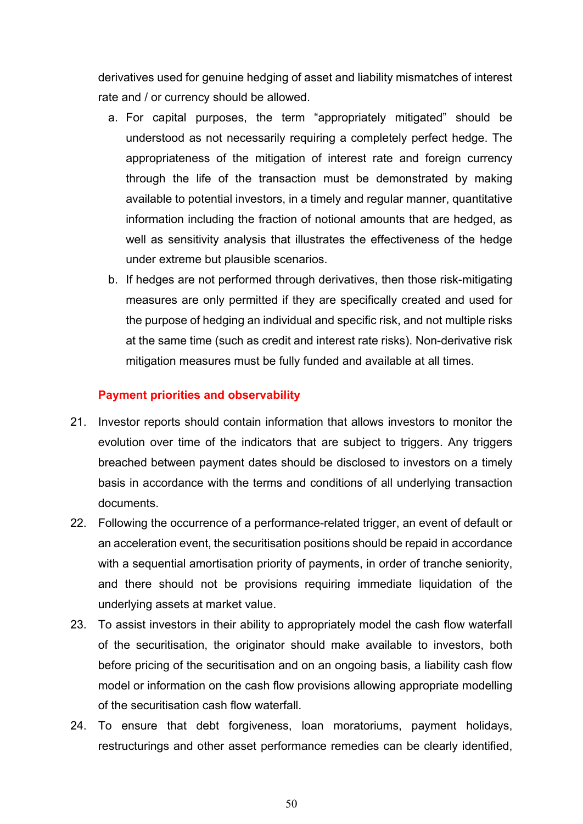derivatives used for genuine hedging of asset and liability mismatches of interest rate and / or currency should be allowed.

- a. For capital purposes, the term "appropriately mitigated" should be understood as not necessarily requiring a completely perfect hedge. The appropriateness of the mitigation of interest rate and foreign currency through the life of the transaction must be demonstrated by making available to potential investors, in a timely and regular manner, quantitative information including the fraction of notional amounts that are hedged, as well as sensitivity analysis that illustrates the effectiveness of the hedge under extreme but plausible scenarios.
- b. If hedges are not performed through derivatives, then those risk-mitigating measures are only permitted if they are specifically created and used for the purpose of hedging an individual and specific risk, and not multiple risks at the same time (such as credit and interest rate risks). Non-derivative risk mitigation measures must be fully funded and available at all times.

### **Payment priorities and observability**

- 21. Investor reports should contain information that allows investors to monitor the evolution over time of the indicators that are subject to triggers. Any triggers breached between payment dates should be disclosed to investors on a timely basis in accordance with the terms and conditions of all underlying transaction documents.
- 22. Following the occurrence of a performance-related trigger, an event of default or an acceleration event, the securitisation positions should be repaid in accordance with a sequential amortisation priority of payments, in order of tranche seniority, and there should not be provisions requiring immediate liquidation of the underlying assets at market value.
- 23. To assist investors in their ability to appropriately model the cash flow waterfall of the securitisation, the originator should make available to investors, both before pricing of the securitisation and on an ongoing basis, a liability cash flow model or information on the cash flow provisions allowing appropriate modelling of the securitisation cash flow waterfall.
- 24. To ensure that debt forgiveness, loan moratoriums, payment holidays, restructurings and other asset performance remedies can be clearly identified,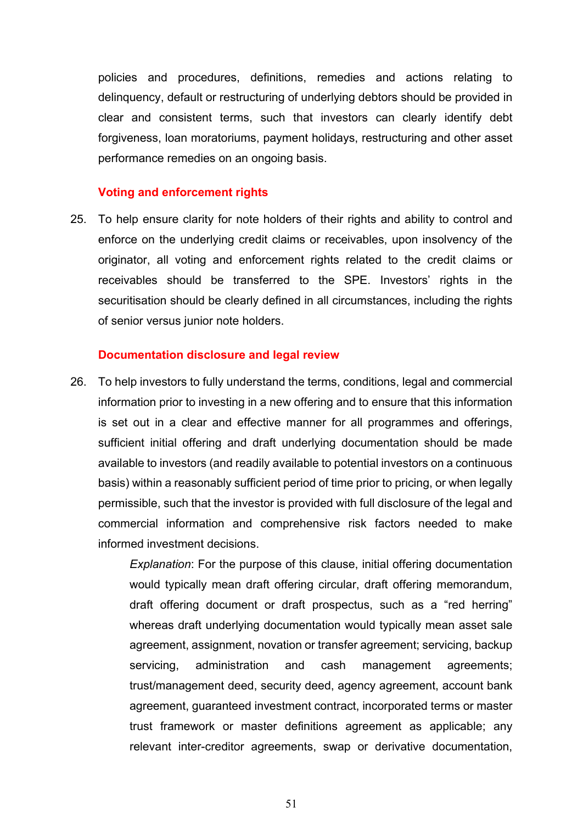policies and procedures, definitions, remedies and actions relating to delinquency, default or restructuring of underlying debtors should be provided in clear and consistent terms, such that investors can clearly identify debt forgiveness, loan moratoriums, payment holidays, restructuring and other asset performance remedies on an ongoing basis.

### **Voting and enforcement rights**

25. To help ensure clarity for note holders of their rights and ability to control and enforce on the underlying credit claims or receivables, upon insolvency of the originator, all voting and enforcement rights related to the credit claims or receivables should be transferred to the SPE. Investors' rights in the securitisation should be clearly defined in all circumstances, including the rights of senior versus junior note holders.

#### **Documentation disclosure and legal review**

26. To help investors to fully understand the terms, conditions, legal and commercial information prior to investing in a new offering and to ensure that this information is set out in a clear and effective manner for all programmes and offerings, sufficient initial offering and draft underlying documentation should be made available to investors (and readily available to potential investors on a continuous basis) within a reasonably sufficient period of time prior to pricing, or when legally permissible, such that the investor is provided with full disclosure of the legal and commercial information and comprehensive risk factors needed to make informed investment decisions.

> *Explanation*: For the purpose of this clause, initial offering documentation would typically mean draft offering circular, draft offering memorandum, draft offering document or draft prospectus, such as a "red herring" whereas draft underlying documentation would typically mean asset sale agreement, assignment, novation or transfer agreement; servicing, backup servicing, administration and cash management agreements; trust/management deed, security deed, agency agreement, account bank agreement, guaranteed investment contract, incorporated terms or master trust framework or master definitions agreement as applicable; any relevant inter-creditor agreements, swap or derivative documentation,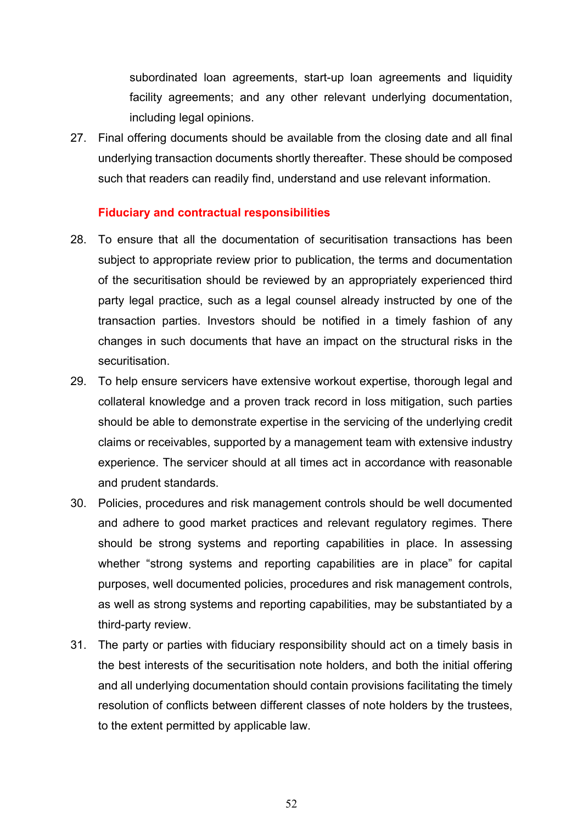subordinated loan agreements, start-up loan agreements and liquidity facility agreements; and any other relevant underlying documentation, including legal opinions.

27. Final offering documents should be available from the closing date and all final underlying transaction documents shortly thereafter. These should be composed such that readers can readily find, understand and use relevant information.

### **Fiduciary and contractual responsibilities**

- 28. To ensure that all the documentation of securitisation transactions has been subject to appropriate review prior to publication, the terms and documentation of the securitisation should be reviewed by an appropriately experienced third party legal practice, such as a legal counsel already instructed by one of the transaction parties. Investors should be notified in a timely fashion of any changes in such documents that have an impact on the structural risks in the securitisation.
- 29. To help ensure servicers have extensive workout expertise, thorough legal and collateral knowledge and a proven track record in loss mitigation, such parties should be able to demonstrate expertise in the servicing of the underlying credit claims or receivables, supported by a management team with extensive industry experience. The servicer should at all times act in accordance with reasonable and prudent standards.
- 30. Policies, procedures and risk management controls should be well documented and adhere to good market practices and relevant regulatory regimes. There should be strong systems and reporting capabilities in place. In assessing whether "strong systems and reporting capabilities are in place" for capital purposes, well documented policies, procedures and risk management controls, as well as strong systems and reporting capabilities, may be substantiated by a third-party review.
- 31. The party or parties with fiduciary responsibility should act on a timely basis in the best interests of the securitisation note holders, and both the initial offering and all underlying documentation should contain provisions facilitating the timely resolution of conflicts between different classes of note holders by the trustees, to the extent permitted by applicable law.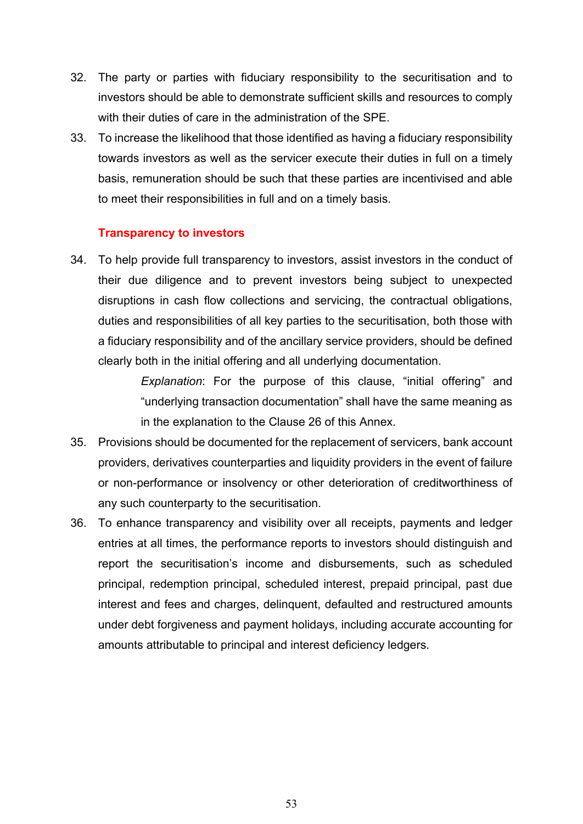- 32. The party or parties with fiduciary responsibility to the securitisation and to investors should be able to demonstrate sufficient skills and resources to comply with their duties of care in the administration of the SPE.
- 33. To increase the likelihood that those identified as having a fiduciary responsibility towards investors as well as the servicer execute their duties in full on a timely basis, remuneration should be such that these parties are incentivised and able to meet their responsibilities in full and on a timely basis.

### **Transparency to investors**

34. To help provide full transparency to investors, assist investors in the conduct of their due diligence and to prevent investors being subject to unexpected disruptions in cash flow collections and servicing, the contractual obligations, duties and responsibilities of all key parties to the securitisation, both those with a fiduciary responsibility and of the ancillary service providers, should be defined clearly both in the initial offering and all underlying documentation.

> *Explanation*: For the purpose of this clause, "initial offering" and "underlying transaction documentation" shall have the same meaning as in the explanation to the Clause 26 of this Annex.

- 35. Provisions should be documented for the replacement of servicers, bank account providers, derivatives counterparties and liquidity providers in the event of failure or non-performance or insolvency or other deterioration of creditworthiness of any such counterparty to the securitisation.
- 36. To enhance transparency and visibility over all receipts, payments and ledger entries at all times, the performance reports to investors should distinguish and report the securitisation's income and disbursements, such as scheduled principal, redemption principal, scheduled interest, prepaid principal, past due interest and fees and charges, delinquent, defaulted and restructured amounts under debt forgiveness and payment holidays, including accurate accounting for amounts attributable to principal and interest deficiency ledgers.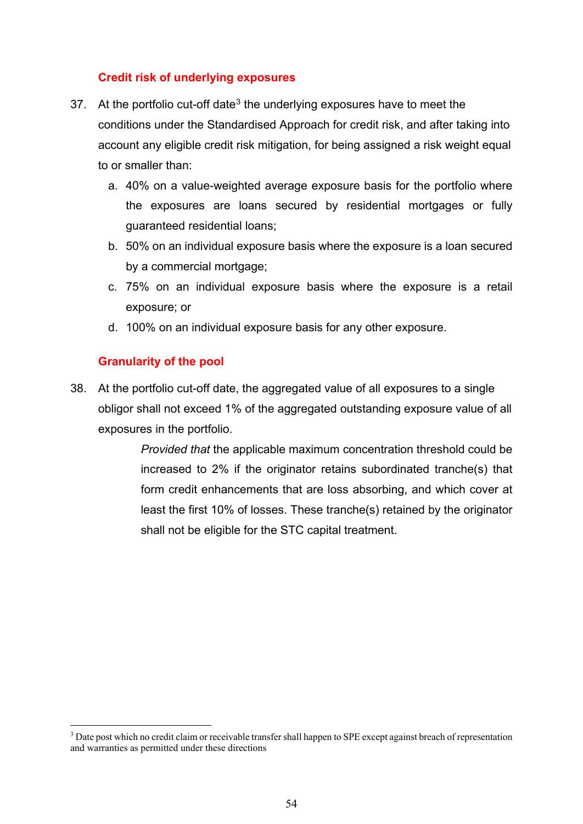# **Credit risk of underlying exposures**

- [3](#page-53-0)7. At the portfolio cut-off date<sup>3</sup> the underlying exposures have to meet the conditions under the Standardised Approach for credit risk, and after taking into account any eligible credit risk mitigation, for being assigned a risk weight equal to or smaller than:
	- a. 40% on a value-weighted average exposure basis for the portfolio where the exposures are loans secured by residential mortgages or fully guaranteed residential loans;
	- b. 50% on an individual exposure basis where the exposure is a loan secured by a commercial mortgage;
	- c. 75% on an individual exposure basis where the exposure is a retail exposure; or
	- d. 100% on an individual exposure basis for any other exposure.

## **Granularity of the pool**

38. At the portfolio cut-off date, the aggregated value of all exposures to a single obligor shall not exceed 1% of the aggregated outstanding exposure value of all exposures in the portfolio.

> *Provided that* the applicable maximum concentration threshold could be increased to 2% if the originator retains subordinated tranche(s) that form credit enhancements that are loss absorbing, and which cover at least the first 10% of losses. These tranche(s) retained by the originator shall not be eligible for the STC capital treatment.

<span id="page-53-0"></span><sup>&</sup>lt;sup>3</sup> Date post which no credit claim or receivable transfer shall happen to SPE except against breach of representation and warranties as permitted under these directions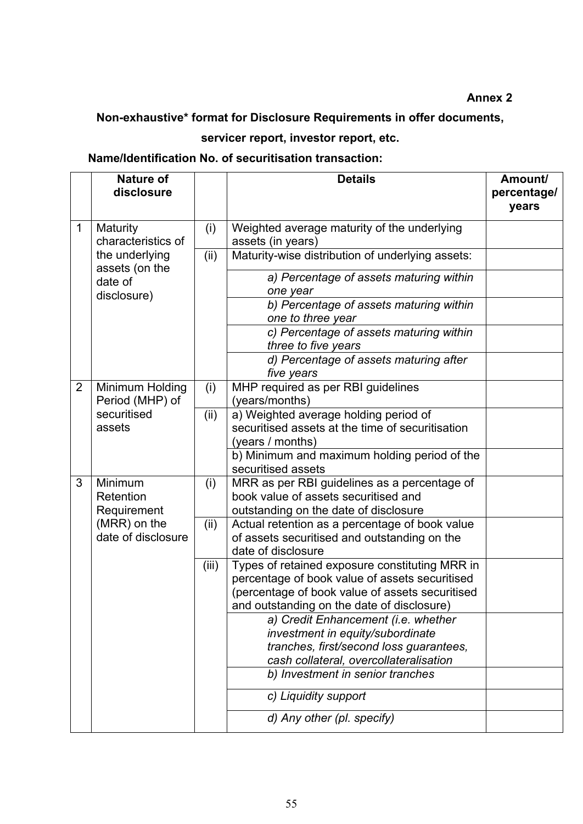### **Annex 2**

# <span id="page-54-0"></span>**Non-exhaustive\* format for Disclosure Requirements in offer documents,**

# **servicer report, investor report, etc.**

# **Name/Identification No. of securitisation transaction:**

|                | <b>Nature of</b><br>disclosure      |       | <b>Details</b>                                                                                                                                                                                    | Amount/<br>percentage/ |
|----------------|-------------------------------------|-------|---------------------------------------------------------------------------------------------------------------------------------------------------------------------------------------------------|------------------------|
|                |                                     |       |                                                                                                                                                                                                   | years                  |
| $\mathbf{1}$   | Maturity<br>characteristics of      | (i)   | Weighted average maturity of the underlying<br>assets (in years)                                                                                                                                  |                        |
|                | the underlying                      | (ii)  | Maturity-wise distribution of underlying assets:                                                                                                                                                  |                        |
|                | assets (on the<br>date of           |       | a) Percentage of assets maturing within<br>one year                                                                                                                                               |                        |
|                | disclosure)                         |       | b) Percentage of assets maturing within<br>one to three year                                                                                                                                      |                        |
|                |                                     |       | c) Percentage of assets maturing within<br>three to five years                                                                                                                                    |                        |
|                |                                     |       | d) Percentage of assets maturing after<br>five years                                                                                                                                              |                        |
| $\overline{2}$ | Minimum Holding<br>Period (MHP) of  | (i)   | MHP required as per RBI guidelines<br>(years/months)                                                                                                                                              |                        |
|                | securitised<br>assets               | (ii)  | a) Weighted average holding period of<br>securitised assets at the time of securitisation<br>(years / months)                                                                                     |                        |
|                |                                     |       | b) Minimum and maximum holding period of the<br>securitised assets                                                                                                                                |                        |
| 3              | Minimum<br>Retention<br>Requirement | (i)   | MRR as per RBI guidelines as a percentage of<br>book value of assets securitised and<br>outstanding on the date of disclosure                                                                     |                        |
|                | (MRR) on the<br>date of disclosure  | (ii)  | Actual retention as a percentage of book value<br>of assets securitised and outstanding on the<br>date of disclosure                                                                              |                        |
|                |                                     | (iii) | Types of retained exposure constituting MRR in<br>percentage of book value of assets securitised<br>(percentage of book value of assets securitised<br>and outstanding on the date of disclosure) |                        |
|                |                                     |       | a) Credit Enhancement (i.e. whether<br>investment in equity/subordinate<br>tranches, first/second loss guarantees,<br>cash collateral, overcollateralisation                                      |                        |
|                |                                     |       | b) Investment in senior tranches                                                                                                                                                                  |                        |
|                |                                     |       | c) Liquidity support                                                                                                                                                                              |                        |
|                |                                     |       | d) Any other (pl. specify)                                                                                                                                                                        |                        |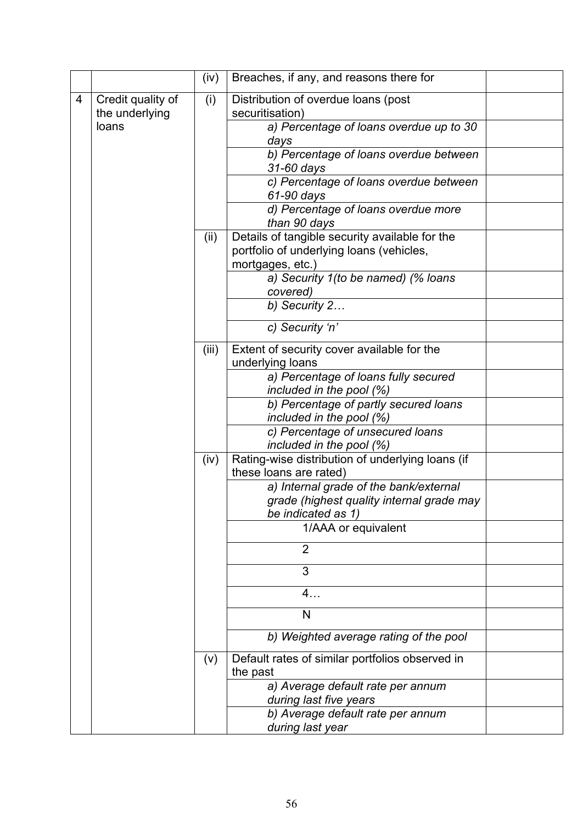|   |                                     | (iv)  | Breaches, if any, and reasons there for                                                                        |  |
|---|-------------------------------------|-------|----------------------------------------------------------------------------------------------------------------|--|
| 4 | Credit quality of<br>the underlying | (i)   | Distribution of overdue loans (post<br>securitisation)                                                         |  |
|   | loans                               |       | a) Percentage of loans overdue up to 30<br>days                                                                |  |
|   |                                     |       | b) Percentage of loans overdue between<br>31-60 days                                                           |  |
|   |                                     |       | c) Percentage of loans overdue between<br>61-90 days                                                           |  |
|   |                                     |       | d) Percentage of loans overdue more<br>than 90 days                                                            |  |
|   |                                     | (ii)  | Details of tangible security available for the<br>portfolio of underlying loans (vehicles,<br>mortgages, etc.) |  |
|   |                                     |       | a) Security 1 (to be named) (% loans<br>covered)                                                               |  |
|   |                                     |       | $b)$ Security 2                                                                                                |  |
|   |                                     |       | c) Security 'n'                                                                                                |  |
|   |                                     | (iii) | Extent of security cover available for the<br>underlying loans                                                 |  |
|   |                                     |       | a) Percentage of loans fully secured<br>included in the pool $(\%)$                                            |  |
|   |                                     |       | b) Percentage of partly secured loans<br>included in the pool (%)                                              |  |
|   |                                     |       | c) Percentage of unsecured loans<br>included in the pool (%)                                                   |  |
|   |                                     | (iv)  | Rating-wise distribution of underlying loans (if<br>these loans are rated)                                     |  |
|   |                                     |       | a) Internal grade of the bank/external<br>grade (highest quality internal grade may<br>be indicated as 1)      |  |
|   |                                     |       | 1/AAA or equivalent                                                                                            |  |
|   |                                     |       | $\overline{2}$                                                                                                 |  |
|   |                                     |       | 3                                                                                                              |  |
|   |                                     |       | 4.                                                                                                             |  |
|   |                                     |       | N                                                                                                              |  |
|   |                                     |       | b) Weighted average rating of the pool                                                                         |  |
|   |                                     | (v)   | Default rates of similar portfolios observed in<br>the past                                                    |  |
|   |                                     |       | a) Average default rate per annum<br>during last five years                                                    |  |
|   |                                     |       | b) Average default rate per annum<br>during last year                                                          |  |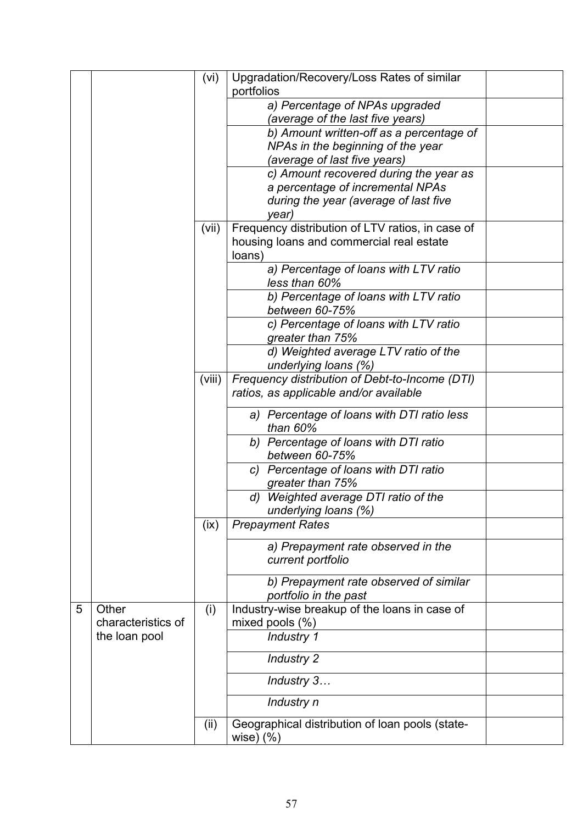|   |                    | (vi)   | Upgradation/Recovery/Loss Rates of similar       |  |
|---|--------------------|--------|--------------------------------------------------|--|
|   |                    |        | portfolios                                       |  |
|   |                    |        | a) Percentage of NPAs upgraded                   |  |
|   |                    |        | (average of the last five years)                 |  |
|   |                    |        | b) Amount written-off as a percentage of         |  |
|   |                    |        | NPAs in the beginning of the year                |  |
|   |                    |        | (average of last five years)                     |  |
|   |                    |        | c) Amount recovered during the year as           |  |
|   |                    |        | a percentage of incremental NPAs                 |  |
|   |                    |        | during the year (average of last five            |  |
|   |                    |        | year)                                            |  |
|   |                    | (vii)  | Frequency distribution of LTV ratios, in case of |  |
|   |                    |        | housing loans and commercial real estate         |  |
|   |                    |        | loans)                                           |  |
|   |                    |        | a) Percentage of loans with LTV ratio            |  |
|   |                    |        | less than 60%                                    |  |
|   |                    |        | b) Percentage of loans with LTV ratio            |  |
|   |                    |        | between 60-75%                                   |  |
|   |                    |        | c) Percentage of Ioans with LTV ratio            |  |
|   |                    |        | greater than 75%                                 |  |
|   |                    |        | d) Weighted average LTV ratio of the             |  |
|   |                    |        | underlying loans (%)                             |  |
|   |                    | (viii) | Frequency distribution of Debt-to-Income (DTI)   |  |
|   |                    |        | ratios, as applicable and/or available           |  |
|   |                    |        | a) Percentage of loans with DTI ratio less       |  |
|   |                    |        | than 60%                                         |  |
|   |                    |        | b) Percentage of loans with DTI ratio            |  |
|   |                    |        | between 60-75%                                   |  |
|   |                    |        | c) Percentage of loans with DTI ratio            |  |
|   |                    |        | greater than 75%                                 |  |
|   |                    |        | d) Weighted average DTI ratio of the             |  |
|   |                    |        | underlying loans (%)                             |  |
|   |                    | (ix)   | <b>Prepayment Rates</b>                          |  |
|   |                    |        | a) Prepayment rate observed in the               |  |
|   |                    |        | current portfolio                                |  |
|   |                    |        |                                                  |  |
|   |                    |        | b) Prepayment rate observed of similar           |  |
|   |                    |        | portfolio in the past                            |  |
| 5 | Other              | (i)    | Industry-wise breakup of the loans in case of    |  |
|   | characteristics of |        | mixed pools $(\%)$                               |  |
|   | the loan pool      |        | Industry 1                                       |  |
|   |                    |        | <b>Industry 2</b>                                |  |
|   |                    |        | Industry 3                                       |  |
|   |                    |        | Industry n                                       |  |
|   |                    | (ii)   | Geographical distribution of loan pools (state-  |  |
|   |                    |        | wise $(%)$                                       |  |
|   |                    |        |                                                  |  |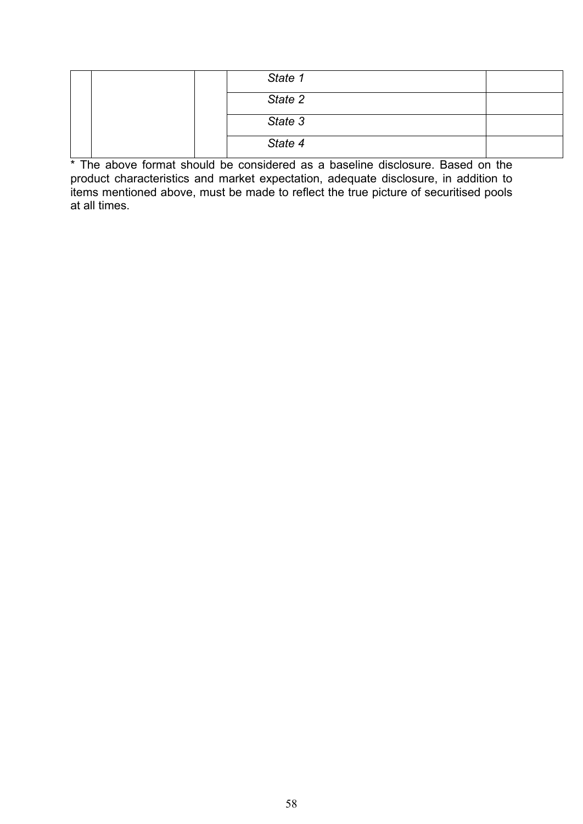|  | State 1 |  |
|--|---------|--|
|  | State 2 |  |
|  | State 3 |  |
|  | State 4 |  |

\* The above format should be considered as a baseline disclosure. Based on the product characteristics and market expectation, adequate disclosure, in addition to items mentioned above, must be made to reflect the true picture of securitised pools at all times.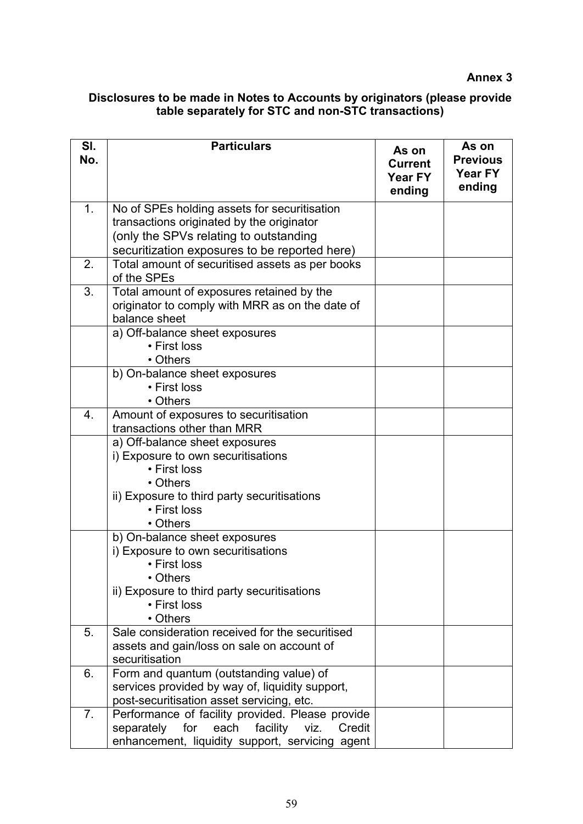**Annex 3**

### <span id="page-58-0"></span>**Disclosures to be made in Notes to Accounts by originators (please provide table separately for STC and non-STC transactions)**

| SI.<br>No. | <b>Particulars</b>                                             | As on<br><b>Current</b><br>Year FY<br>ending | As on<br><b>Previous</b><br>Year FY<br>ending |
|------------|----------------------------------------------------------------|----------------------------------------------|-----------------------------------------------|
| 1.         | No of SPEs holding assets for securitisation                   |                                              |                                               |
|            | transactions originated by the originator                      |                                              |                                               |
|            | (only the SPVs relating to outstanding                         |                                              |                                               |
| 2.         | securitization exposures to be reported here)                  |                                              |                                               |
|            | Total amount of securitised assets as per books<br>of the SPEs |                                              |                                               |
| 3.         | Total amount of exposures retained by the                      |                                              |                                               |
|            | originator to comply with MRR as on the date of                |                                              |                                               |
|            | balance sheet                                                  |                                              |                                               |
|            | a) Off-balance sheet exposures                                 |                                              |                                               |
|            | • First loss                                                   |                                              |                                               |
|            | • Others                                                       |                                              |                                               |
|            | b) On-balance sheet exposures<br>• First loss                  |                                              |                                               |
|            | • Others                                                       |                                              |                                               |
| 4.         | Amount of exposures to securitisation                          |                                              |                                               |
|            | transactions other than MRR                                    |                                              |                                               |
|            | a) Off-balance sheet exposures                                 |                                              |                                               |
|            | i) Exposure to own securitisations                             |                                              |                                               |
|            | • First loss                                                   |                                              |                                               |
|            | • Others                                                       |                                              |                                               |
|            | ii) Exposure to third party securitisations                    |                                              |                                               |
|            | • First loss                                                   |                                              |                                               |
|            | • Others                                                       |                                              |                                               |
|            | b) On-balance sheet exposures                                  |                                              |                                               |
|            | i) Exposure to own securitisations                             |                                              |                                               |
|            | • First loss<br>• Others                                       |                                              |                                               |
|            | ii) Exposure to third party securitisations                    |                                              |                                               |
|            | • First loss                                                   |                                              |                                               |
|            | • Others                                                       |                                              |                                               |
| 5.         | Sale consideration received for the securitised                |                                              |                                               |
|            | assets and gain/loss on sale on account of                     |                                              |                                               |
|            | securitisation                                                 |                                              |                                               |
| 6.         | Form and quantum (outstanding value) of                        |                                              |                                               |
|            | services provided by way of, liquidity support,                |                                              |                                               |
|            | post-securitisation asset servicing, etc.                      |                                              |                                               |
| 7.         | Performance of facility provided. Please provide               |                                              |                                               |
|            | for<br>each facility<br>separately<br>viz.<br>Credit           |                                              |                                               |
|            | enhancement, liquidity support, servicing agent                |                                              |                                               |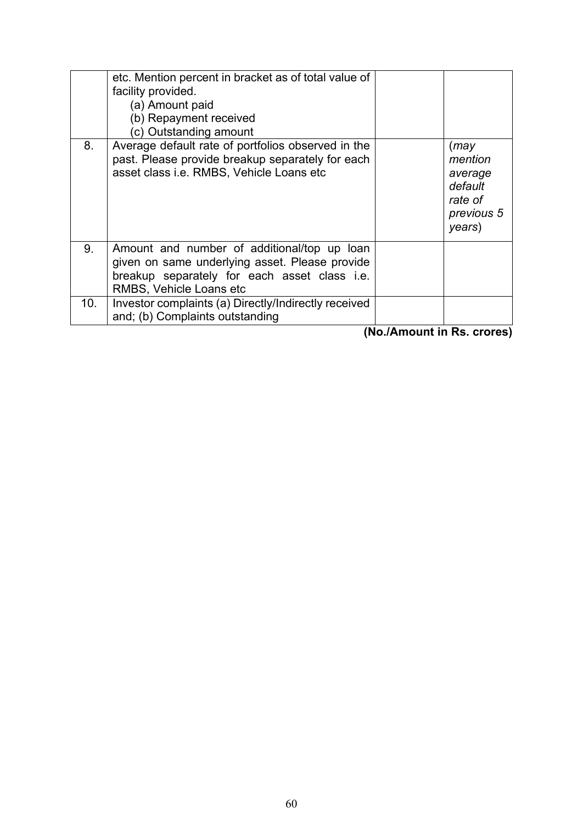|     | etc. Mention percent in bracket as of total value of<br>facility provided.<br>(a) Amount paid<br>(b) Repayment received<br>(c) Outstanding amount                        |                                                                           |
|-----|--------------------------------------------------------------------------------------------------------------------------------------------------------------------------|---------------------------------------------------------------------------|
| 8.  | Average default rate of portfolios observed in the<br>past. Please provide breakup separately for each<br>asset class i.e. RMBS, Vehicle Loans etc                       | (may)<br>mention<br>average<br>default<br>rate of<br>previous 5<br>years) |
| 9.  | Amount and number of additional/top up loan<br>given on same underlying asset. Please provide<br>breakup separately for each asset class i.e.<br>RMBS, Vehicle Loans etc |                                                                           |
| 10. | Investor complaints (a) Directly/Indirectly received<br>and; (b) Complaints outstanding                                                                                  |                                                                           |

**(No./Amount in Rs. crores)**